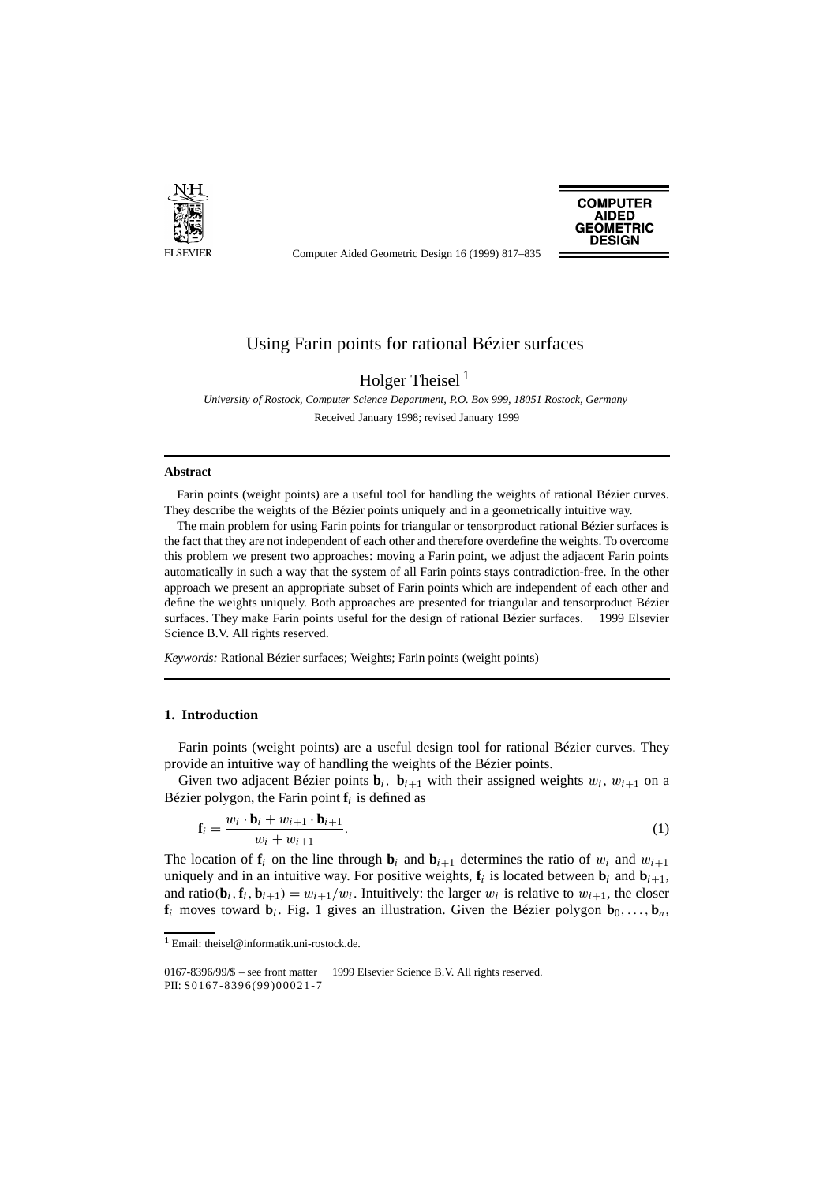

Computer Aided Geometric Design 16 (1999) 817–835

**COMPUTER AIDED GEOMETRIC DESIGN** 

# Using Farin points for rational Bézier surfaces

# Holger Theisel<sup>1</sup>

*University of Rostock, Computer Science Department, P.O. Box 999, 18051 Rostock, Germany* Received January 1998; revised January 1999

## **Abstract**

Farin points (weight points) are a useful tool for handling the weights of rational Bézier curves. They describe the weights of the Bézier points uniquely and in a geometrically intuitive way.

The main problem for using Farin points for triangular or tensorproduct rational Bézier surfaces is the fact that they are not independent of each other and therefore overdefine the weights. To overcome this problem we present two approaches: moving a Farin point, we adjust the adjacent Farin points automatically in such a way that the system of all Farin points stays contradiction-free. In the other approach we present an appropriate subset of Farin points which are independent of each other and define the weights uniquely. Both approaches are presented for triangular and tensorproduct Bézier surfaces. They make Farin points useful for the design of rational Bézier surfaces. © 1999 Elsevier Science B.V. All rights reserved.

*Keywords:* Rational Bézier surfaces; Weights; Farin points (weight points)

## **1. Introduction**

Farin points (weight points) are a useful design tool for rational Bézier curves. They provide an intuitive way of handling the weights of the Bézier points.

Given two adjacent Bézier points  $\mathbf{b}_i$ ,  $\mathbf{b}_{i+1}$  with their assigned weights  $w_i$ ,  $w_{i+1}$  on a Bézier polygon, the Farin point  $f_i$  is defined as

$$
\mathbf{f}_i = \frac{w_i \cdot \mathbf{b}_i + w_{i+1} \cdot \mathbf{b}_{i+1}}{w_i + w_{i+1}}.
$$
\n
$$
(1)
$$

The location of  $f_i$  on the line through  $b_i$  and  $b_{i+1}$  determines the ratio of  $w_i$  and  $w_{i+1}$ uniquely and in an intuitive way. For positive weights,  $f_i$  is located between  $b_i$  and  $b_{i+1}$ , and ratio( $\mathbf{b}_i$ ,  $\mathbf{f}_i$ ,  $\mathbf{b}_{i+1}$ ) =  $w_{i+1}/w_i$ . Intuitively: the larger  $w_i$  is relative to  $w_{i+1}$ , the closer  $f_i$  moves toward  $\mathbf{b}_i$ . Fig. 1 gives an illustration. Given the Bézier polygon  $\mathbf{b}_0, \ldots, \mathbf{b}_n$ ,

<sup>1</sup> Email: theisel@informatik.uni-rostock.de.

 $0167-8396/99/\$$  – see front matter  $\odot$  1999 Elsevier Science B.V. All rights reserved. PII: S0167-8396(99)00021-7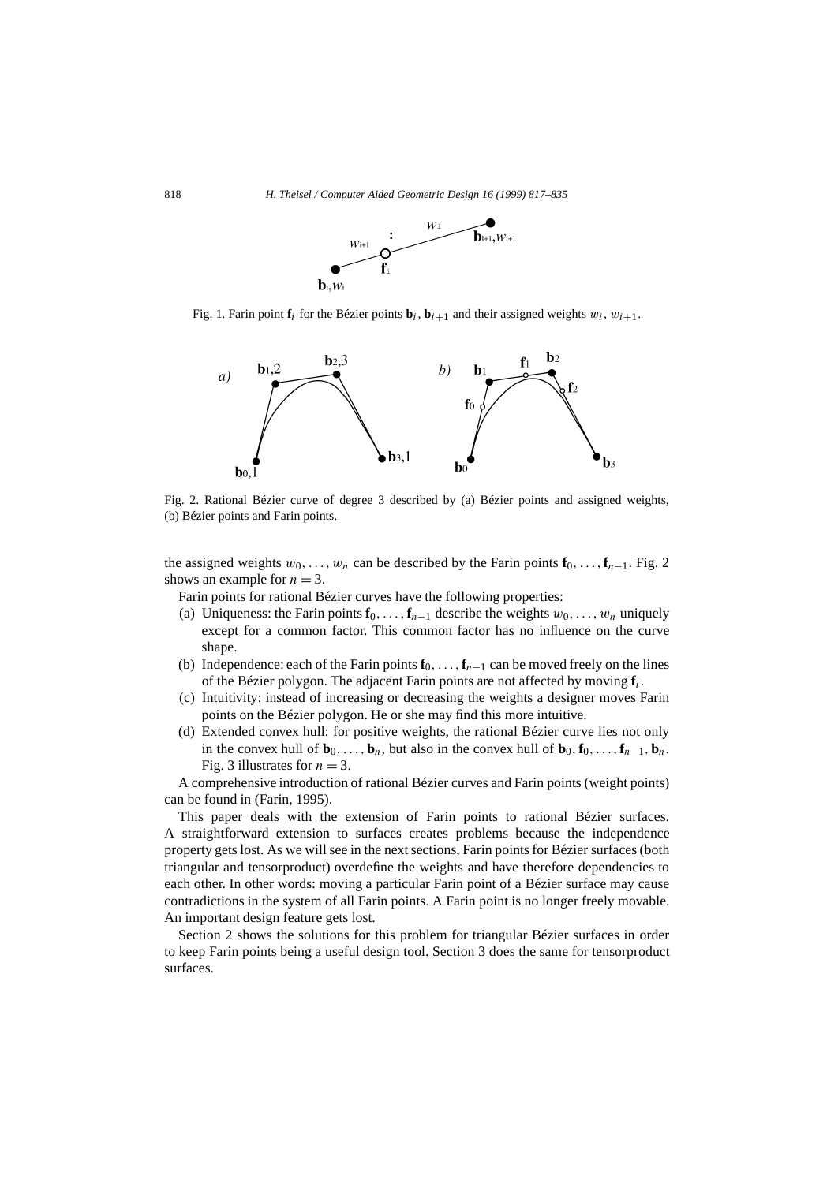

Fig. 1. Farin point  $f_i$  for the Bézier points  $\mathbf{b}_i$ ,  $\mathbf{b}_{i+1}$  and their assigned weights  $w_i$ ,  $w_{i+1}$ .



Fig. 2. Rational Bézier curve of degree 3 described by (a) Bézier points and assigned weights, (b) Bézier points and Farin points.

the assigned weights  $w_0, \ldots, w_n$  can be described by the Farin points  $\mathbf{f}_0, \ldots, \mathbf{f}_{n-1}$ . Fig. 2 shows an example for  $n = 3$ .

Farin points for rational Bézier curves have the following properties:

- (a) Uniqueness: the Farin points  $\mathbf{f}_0, \ldots, \mathbf{f}_{n-1}$  describe the weights  $w_0, \ldots, w_n$  uniquely except for a common factor. This common factor has no influence on the curve shape.
- (b) Independence: each of the Farin points  $\mathbf{f}_0, \ldots, \mathbf{f}_{n-1}$  can be moved freely on the lines of the Bézier polygon. The adjacent Farin points are not affected by moving **f***i*.
- (c) Intuitivity: instead of increasing or decreasing the weights a designer moves Farin points on the Bézier polygon. He or she may find this more intuitive.
- (d) Extended convex hull: for positive weights, the rational Bézier curve lies not only in the convex hull of  $\mathbf{b}_0, \ldots, \mathbf{b}_n$ , but also in the convex hull of  $\mathbf{b}_0, \mathbf{f}_0, \ldots, \mathbf{f}_{n-1}, \mathbf{b}_n$ . Fig. 3 illustrates for  $n = 3$ .

A comprehensive introduction of rational Bézier curves and Farin points (weight points) can be found in (Farin, 1995).

This paper deals with the extension of Farin points to rational Bézier surfaces. A straightforward extension to surfaces creates problems because the independence property gets lost. As we will see in the next sections, Farin points for Bézier surfaces (both triangular and tensorproduct) overdefine the weights and have therefore dependencies to each other. In other words: moving a particular Farin point of a Bézier surface may cause contradictions in the system of all Farin points. A Farin point is no longer freely movable. An important design feature gets lost.

Section 2 shows the solutions for this problem for triangular Bézier surfaces in order to keep Farin points being a useful design tool. Section 3 does the same for tensorproduct surfaces.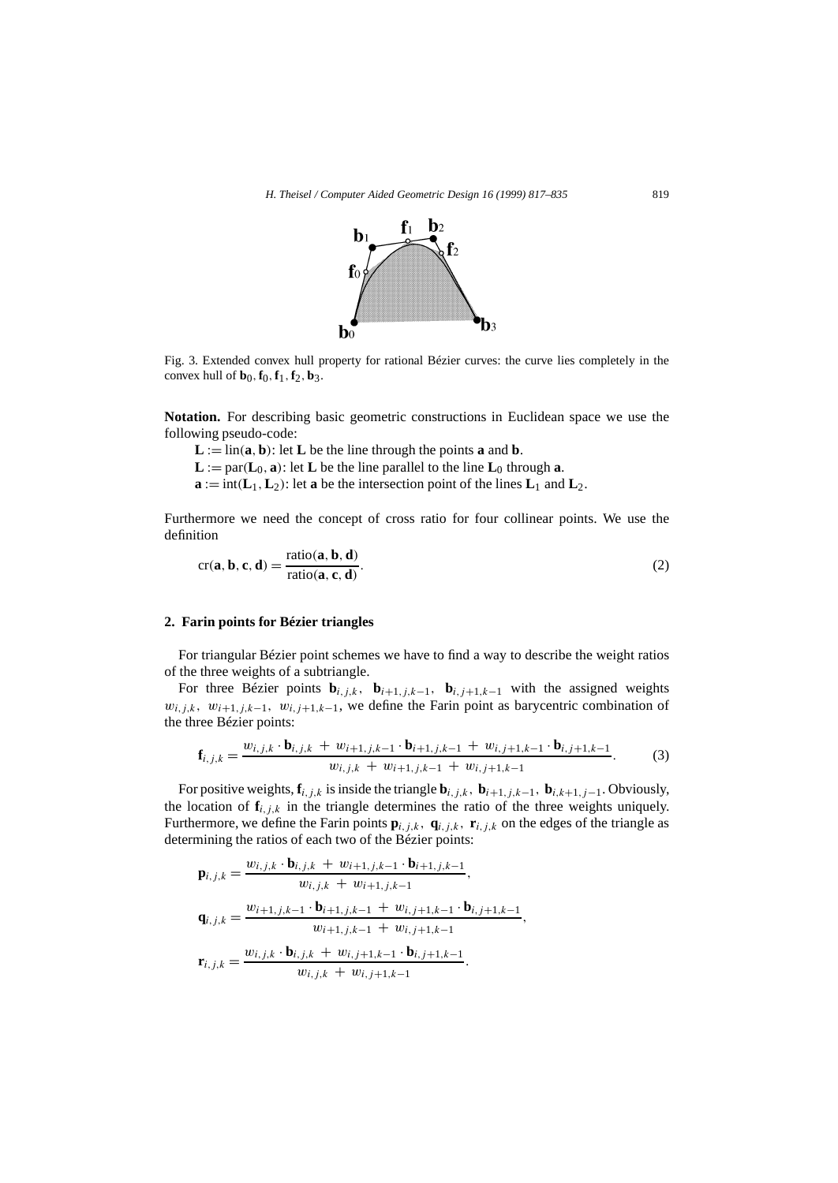

Fig. 3. Extended convex hull property for rational Bézier curves: the curve lies completely in the convex hull of  $$ 

**Notation.** For describing basic geometric constructions in Euclidean space we use the following pseudo-code:

 $L := \text{lin}(a, b)$ : let  $L$  be the line through the points **a** and **b**.  $\mathbf{L} := \text{par}(\mathbf{L}_0, \mathbf{a})$ : let  $\mathbf{L}$  be the line parallel to the line  $\mathbf{L}_0$  through  $\mathbf{a}$ .  $\mathbf{a} := \text{int}(\mathbf{L}_1, \mathbf{L}_2)$ : let  $\mathbf{a}$  be the intersection point of the lines  $\mathbf{L}_1$  and  $\mathbf{L}_2$ .

Furthermore we need the concept of cross ratio for four collinear points. We use the definition

$$
cr(\mathbf{a}, \mathbf{b}, \mathbf{c}, \mathbf{d}) = \frac{\text{ratio}(\mathbf{a}, \mathbf{b}, \mathbf{d})}{\text{ratio}(\mathbf{a}, \mathbf{c}, \mathbf{d})}.
$$
 (2)

#### **2. Farin points for Bézier triangles**

For triangular Bézier point schemes we have to find a way to describe the weight ratios of the three weights of a subtriangle.

For three Bézier points  $\mathbf{b}_{i,j,k}$ ,  $\mathbf{b}_{i+1,j,k-1}$ ,  $\mathbf{b}_{i,j+1,k-1}$  with the assigned weights  $w_{i,j,k}$ ,  $w_{i+1,j,k-1}$ ,  $w_{i,j+1,k-1}$ , we define the Farin point as barycentric combination of the three Bézier points:

$$
\mathbf{f}_{i,j,k} = \frac{w_{i,j,k} \cdot \mathbf{b}_{i,j,k} + w_{i+1,j,k-1} \cdot \mathbf{b}_{i+1,j,k-1} + w_{i,j+1,k-1} \cdot \mathbf{b}_{i,j+1,k-1}}{w_{i,j,k} + w_{i+1,j,k-1} + w_{i,j+1,k-1}}.
$$
(3)

For positive weights,  $\mathbf{f}_{i,j,k}$  is inside the triangle  $\mathbf{b}_{i,j,k}$ ,  $\mathbf{b}_{i+1,j,k-1}$ ,  $\mathbf{b}_{i,k+1,j-1}$ . Obviously, the location of  $f_{i,j,k}$  in the triangle determines the ratio of the three weights uniquely. Furthermore, we define the Farin points  $\mathbf{p}_{i,j,k}$ ,  $\mathbf{q}_{i,j,k}$ ,  $\mathbf{r}_{i,j,k}$  on the edges of the triangle as determining the ratios of each two of the Bézier points:

$$
\mathbf{p}_{i,j,k} = \frac{w_{i,j,k} \cdot \mathbf{b}_{i,j,k} + w_{i+1,j,k-1} \cdot \mathbf{b}_{i+1,j,k-1}}{w_{i,j,k} + w_{i+1,j,k-1}},
$$
\n
$$
\mathbf{q}_{i,j,k} = \frac{w_{i+1,j,k-1} \cdot \mathbf{b}_{i+1,j,k-1} + w_{i,j+1,k-1} \cdot \mathbf{b}_{i,j+1,k-1}}{w_{i+1,j,k-1} + w_{i,j+1,k-1}},
$$
\n
$$
\mathbf{r}_{i,j,k} = \frac{w_{i,j,k} \cdot \mathbf{b}_{i,j,k} + w_{i,j+1,k-1} \cdot \mathbf{b}_{i,j+1,k-1}}{w_{i,j,k} + w_{i,j+1,k-1}}.
$$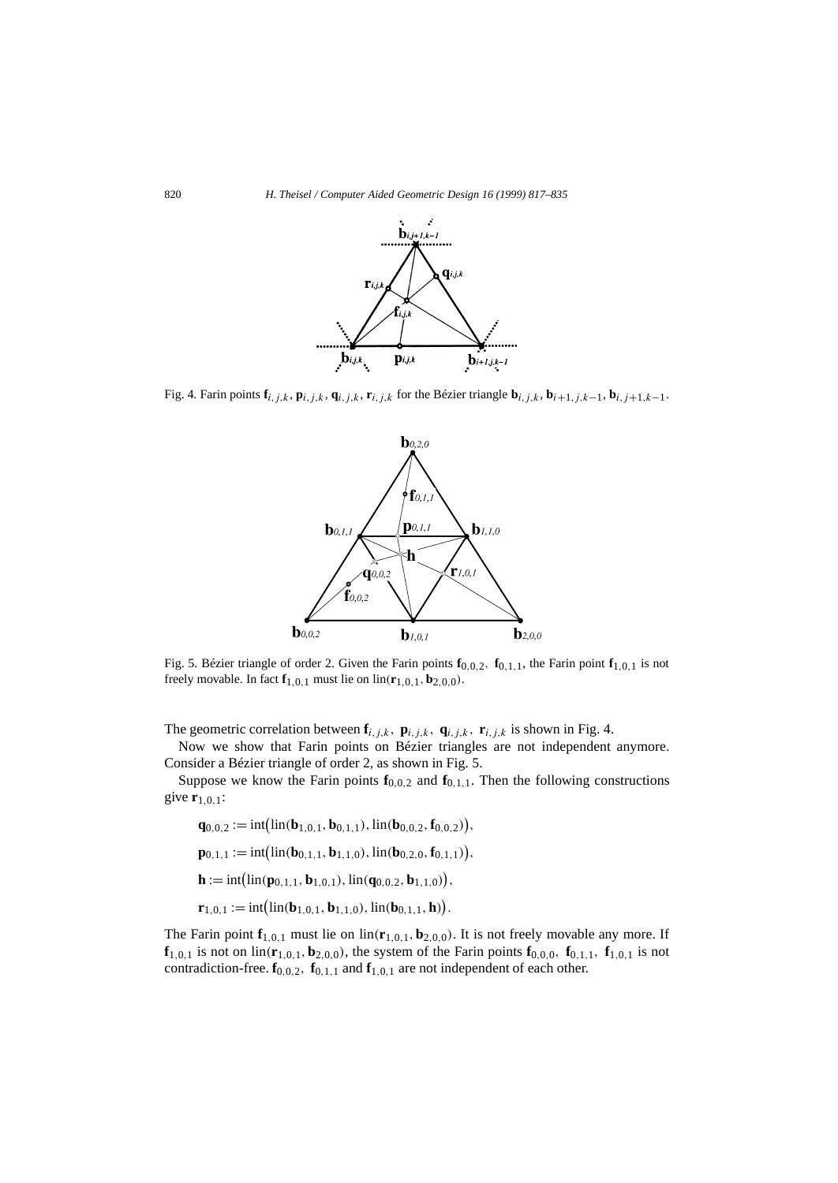

Fig. 4. Farin points  $\mathbf{f}_{i,j,k}$ ,  $\mathbf{p}_{i,j,k}$ ,  $\mathbf{q}_{i,j,k}$ ,  $\mathbf{r}_{i,j,k}$  for the Bézier triangle  $\mathbf{b}_{i,j,k}$ ,  $\mathbf{b}_{i+1,j,k-1}$ ,  $\mathbf{b}_{i,j+1,k-1}$ .



Fig. 5. Bézier triangle of order 2. Given the Farin points  $\mathbf{f}_{0,0,2}$ ,  $\mathbf{f}_{0,1,1}$ , the Farin point  $\mathbf{f}_{1,0,1}$  is not freely movable. In fact  $f_{1,0,1}$  must lie on  $\text{lin}(r_{1,0,1}, b_{2,0,0})$ .

The geometric correlation between  $\mathbf{f}_{i,j,k}$ ,  $\mathbf{p}_{i,j,k}$ ,  $\mathbf{q}_{i,j,k}$ ,  $\mathbf{r}_{i,j,k}$  is shown in Fig. 4.

Now we show that Farin points on Bézier triangles are not independent anymore. Consider a Bézier triangle of order 2, as shown in Fig. 5.

Suppose we know the Farin points  $f_{0,0,2}$  and  $f_{0,1,1}$ . Then the following constructions give **r**1*,*0*,*1: der a Bézier t<br>ppose we kno<br>1,0,1:<br>**q**<sub>0,0,2</sub> := int(  $\overline{1}$ 

$$
\mathbf{q}_{0,0,2} := \text{int}(\text{lin}(\mathbf{b}_{1,0,1}, \mathbf{b}_{0,1,1}), \text{lin}(\mathbf{b}_{0,0,2}, \mathbf{f}_{0,0,2}))
$$
\n
$$
\mathbf{p}_{0,1,1} := \text{int}(\text{lin}(\mathbf{b}_{0,1,1}, \mathbf{b}_{1,1,0}), \text{lin}(\mathbf{b}_{0,2,0}, \mathbf{f}_{0,1,1})),
$$
\n
$$
\mathbf{h} := \text{int}(\text{lin}(\mathbf{p}_{0,1,1}, \mathbf{b}_{1,0,1}), \text{lin}(\mathbf{q}_{0,0,2}, \mathbf{b}_{1,1,0})),
$$
\n
$$
\mathbf{r}_{1,0,1} := \text{int}(\text{lin}(\mathbf{b}_{1,0,1}, \mathbf{b}_{1,1,0}), \text{lin}(\mathbf{b}_{0,1,1}, \mathbf{h})).
$$

The Farin point  $f_{1,0,1}$  must lie on  $\text{lin}(\mathbf{r}_{1,0,1}, \mathbf{b}_{2,0,0})$ . It is not freely movable any more. If  $f_{1,0,1}$  is not on  $\text{lin}(r_{1,0,1}, b_{2,0,0})$ , the system of the Farin points  $f_{0,0,0}$ ,  $f_{0,1,1}$ ,  $f_{1,0,1}$  is not contradiction-free.  $\mathbf{f}_{0,0,2}$ ,  $\mathbf{f}_{0,1,1}$  and  $\mathbf{f}_{1,0,1}$  are not independent of each other.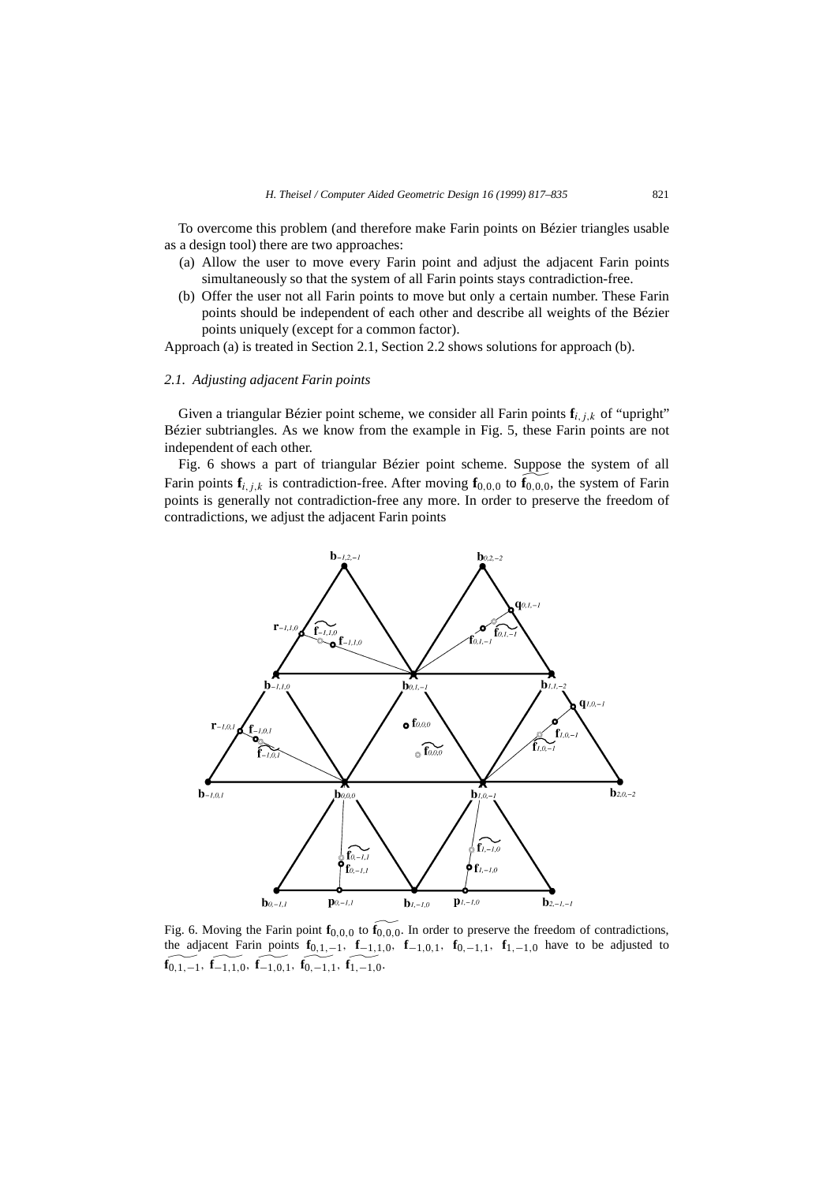To overcome this problem (and therefore make Farin points on Bézier triangles usable as a design tool) there are two approaches:

- (a) Allow the user to move every Farin point and adjust the adjacent Farin points simultaneously so that the system of all Farin points stays contradiction-free.
- (b) Offer the user not all Farin points to move but only a certain number. These Farin points should be independent of each other and describe all weights of the Bézier points uniquely (except for a common factor).

Approach (a) is treated in Section 2.1, Section 2.2 shows solutions for approach (b).

### *2.1. Adjusting adjacent Farin points*

Given a triangular Bézier point scheme, we consider all Farin points  $f_{i,j,k}$  of "upright" Bézier subtriangles. As we know from the example in Fig. 5, these Farin points are not independent of each other.

Fig. 6 shows a part of triangular Bézier point scheme. Suppose the system of all Farin points  $\mathbf{f}_{i,j,k}$  is contradiction-free. After moving  $\mathbf{f}_{0,0,0}$  to  $\widetilde{\mathbf{f}}_{0,0,0}$ , the system of Farin points is generally not contradiction-free any more. In order to preserve the freedom of contradictions, we adjust the adjacent Farin points



Fig. 6. Moving the Farin point  $\mathbf{f}_{0,0,0}$  to  $\mathbf{f}_{0,0,0}$ . In order to preserve the freedom of contradictions, the adjacent Farin points  $f_{0,1,-1}$ ,  $f_{-1,1,0}$ ,  $f_{-1,0,1}$ ,  $f_{0,-1,1}$ ,  $f_{1,-1,0}$  have to be adjusted to **f**<sub>0</sub>*,*1*,*−1*,***f**<sub>-1</sub>*,*1*,*0*,***f**<sub>-1</sub>*,*0*,*1*,***f**<sub>0</sub>*,*−1*,*1*,***f**<sub>1</sub>*,*−1*,*0.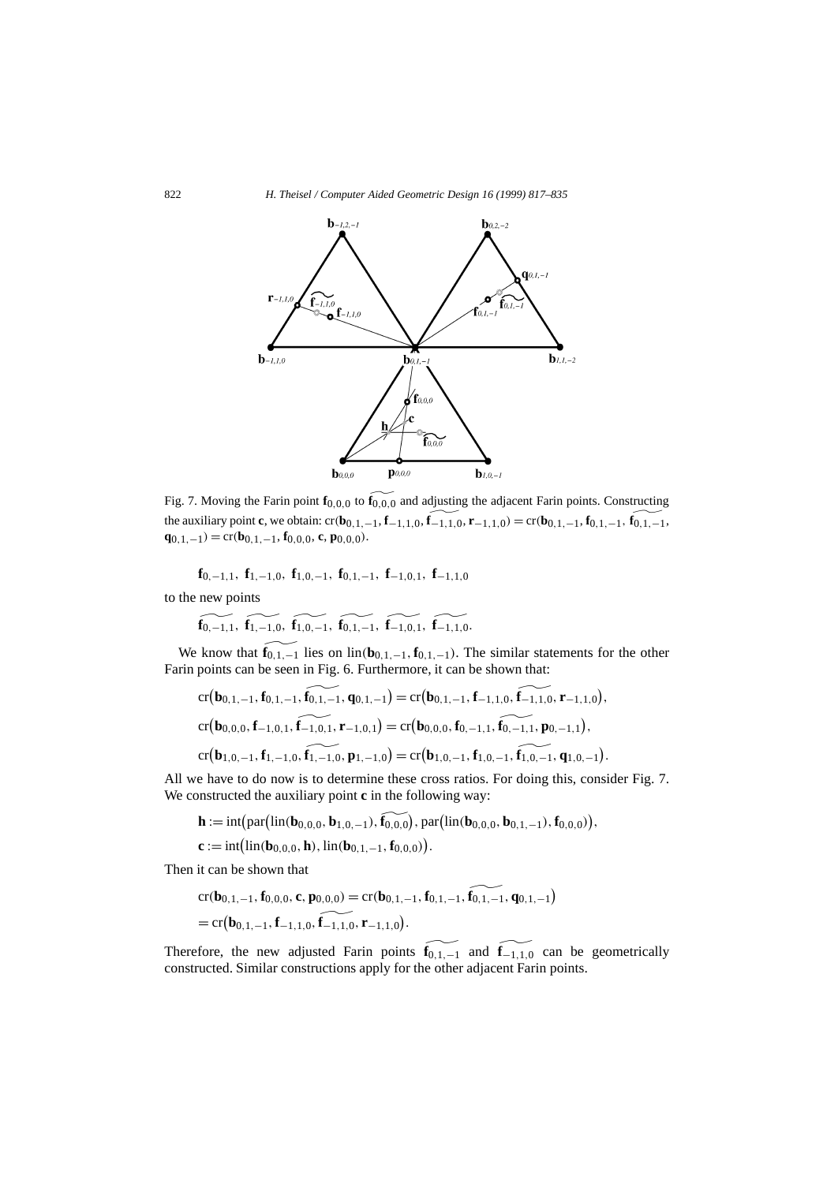

Fig. 7. Moving the Farin point  $\mathbf{f}_{0,0,0}$  to  $\mathbf{f}_{0,0,0}$  and adjusting the adjacent Farin points. Constructing the auxiliary point **c**, we obtain:  $cr(\mathbf{b}_{0,1,-1}, \mathbf{f}_{-1,1,0}, \widetilde{\mathbf{f}_{-1,1,0}}, \mathbf{r}_{-1,1,0}) = cr(\mathbf{b}_{0,1,-1}, \mathbf{f}_{0,1,-1}, \widetilde{\mathbf{f}_{0,1,-1}},$ **q**<sub>0</sub>*,*<sub>1</sub>*,*−1</sub> $) = cr(b_{0,1,-1}, f_{0,0,0}, c, p_{0,0,0}).$ 

$$
\mathbf{f}_{0,-1,1},\;\mathbf{f}_{1,-1,0},\;\mathbf{f}_{1,0,-1},\;\mathbf{f}_{0,1,-1},\;\mathbf{f}_{-1,0,1},\;\mathbf{f}_{-1,1,0}
$$

to the new points

$$
\widetilde{\mathbf{f}_{0,-1,1}}, \ \widetilde{\mathbf{f}_{1,-1,0}}, \ \widetilde{\mathbf{f}_{1,0,-1}}, \ \widetilde{\mathbf{f}_{0,1,-1}}, \ \widetilde{\mathbf{f}_{-1,0,1}}, \ \widetilde{\mathbf{f}_{-1,1,0}}.
$$

We know that  $\mathbf{f}_{0,1,-1}$  lies on lin $(\mathbf{b}_{0,1,-1}, \mathbf{f}_{0,1,-1})$ . The similar statements for the other know that  $\mathbf{f}_{0,1,-1}$  lies on  $\text{lin}(\mathbf{b}_{0,1,-1}, \mathbf{f}_{0,1,0})$ <br>
know that  $\mathbf{f}_{0,1,-1}$  lies on  $\text{lin}(\mathbf{b}_{0,1,-1}, \mathbf{f}_{0,1,0})$ <br>
points can be seen in Fig. 6. Furthermore<br>  $\text{cr}(\mathbf{b}_{0,1,-1}, \mathbf{f}_{0,1,-1}, \widehat{\mathbf{f}_{0,1,-1}}, \$ 

For the value 
$$
I_{0,1,-1}
$$
 and  $I_{0,1,-1}$  and  $I_{0,1,-1}$  and  $I_{0,1,-1}$ .

\nFor example, the value  $I_{0,1,-1}$  and  $I_{0,1,-1}$  and  $I_{0,1,-1}$  and  $I_{0,1,-1}$ .

\nFor  $(\mathbf{b}_{0,1,-1}, \mathbf{f}_{0,1,-1}, \mathbf{f}_{0,1,-1}, \mathbf{q}_{0,1,-1}) = \text{cr}(\mathbf{b}_{0,0,0}, \mathbf{f}_{0,-1,1}, \mathbf{f}_{0,-1,1}, \mathbf{p}_{0,-1,1}),$ 

\nFor  $(\mathbf{b}_{1,0,-1}, \mathbf{f}_{1,-1,0}, \mathbf{f}_{1,-1,0}, \mathbf{p}_{1,-1,0}) = \text{cr}(\mathbf{b}_{1,0,-1}, \mathbf{f}_{1,0,-1}, \mathbf{f}_{1,0,-1}, \mathbf{q}_{1,0,-1}).$ 

All we have to do now is to determine these cross ratios. For doing this, consider Fig. 7. We constructed the auxiliary point **c** in the following way: **cr(b**<sub>1,0,-1</sub>, **f**<sub>1,-1,0</sub>, **f**<sub>1,-1,0</sub>, **p**<sub>1,-1,0</sub>) = **cr(b**<sub>1</sub>,<br>e have to do now is to determine these cross<br>mstructed the auxiliary point **c** in the followi<br>**h** := int(par(lin(**b**<sub>0,0,0</sub>, **b**<sub>1,0,-1</sub>), **f**<sub>0,0,0</sub>), p e have to<br>instructe<br>**h** := int(<br>**c** := int(

$$
\mathbf{h} := \mathrm{int} \big( \mathrm{par} \big( \mathrm{lin}(\mathbf{b}_{0,0,0}, \mathbf{b}_{1,0,-1}), \mathbf{f}_{0,0,0} \big), \mathrm{par} \big( \mathrm{lin}(\mathbf{b}_{0,0,0}, \mathbf{b}_{0,1,-1}), \mathbf{f}_{0,0,0} \big) \big),
$$

$$
\mathbf{c} := \mathrm{int}(\mathrm{lin}(\mathbf{b}_{0,0,0}, \mathbf{h}), \mathrm{lin}(\mathbf{b}_{0,1,-1}, \mathbf{f}_{0,0,0})).
$$

Then it can be shown that  
\n
$$
cr(\mathbf{b}_{0,1,-1}, \mathbf{f}_{0,0,0}, \mathbf{c}, \mathbf{p}_{0,0,0}) = cr(\mathbf{b}_{0,1,-1}, \mathbf{f}_{0,1,-1}, \widehat{\mathbf{f}_{0,1,-1}}, \mathbf{q}_{0,1,-1})
$$
\n
$$
= cr(\mathbf{b}_{0,1,-1}, \mathbf{f}_{-1,1,0}, \widehat{\mathbf{f}_{-1,1,0}}, \mathbf{r}_{-1,1,0}).
$$

Therefore, the new adjusted Farin points  $\mathbf{f}_{0,1,-1}$  and  $\mathbf{f}_{-1,1,0}$  can be geometrically constructed. Similar constructions apply for the other adjacent Farin points.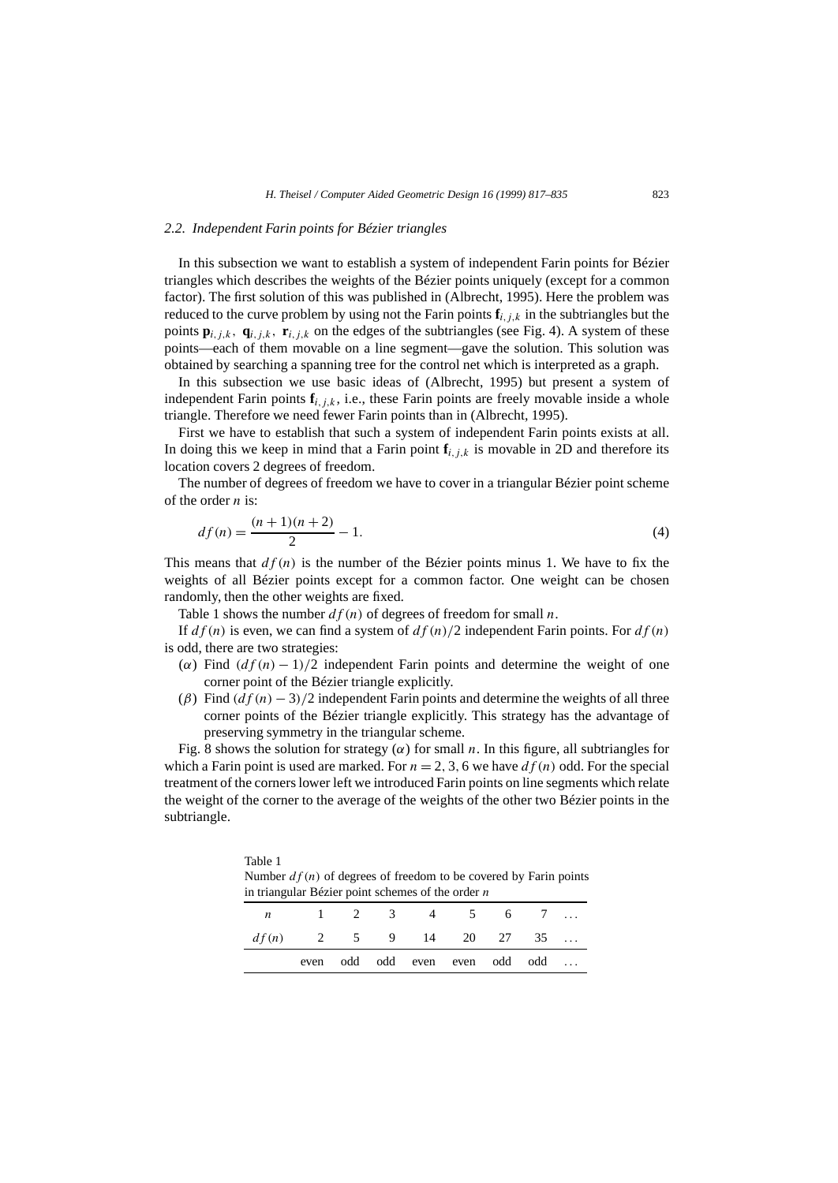## *2.2. Independent Farin points for Bézier triangles*

In this subsection we want to establish a system of independent Farin points for Bézier triangles which describes the weights of the Bézier points uniquely (except for a common factor). The first solution of this was published in (Albrecht, 1995). Here the problem was reduced to the curve problem by using not the Farin points  $f_{i,j,k}$  in the subtriangles but the points  $\mathbf{p}_{i,j,k}$ ,  $\mathbf{q}_{i,j,k}$ ,  $\mathbf{r}_{i,j,k}$  on the edges of the subtriangles (see Fig. 4). A system of these points—each of them movable on a line segment—gave the solution. This solution was obtained by searching a spanning tree for the control net which is interpreted as a graph.

In this subsection we use basic ideas of (Albrecht, 1995) but present a system of independent Farin points  $\mathbf{f}_{i,j,k}$ , i.e., these Farin points are freely movable inside a whole triangle. Therefore we need fewer Farin points than in (Albrecht, 1995).

First we have to establish that such a system of independent Farin points exists at all. In doing this we keep in mind that a Farin point  $f_{i,j,k}$  is movable in 2D and therefore its location covers 2 degrees of freedom.

The number of degrees of freedom we have to cover in a triangular Bézier point scheme of the order *n* is:

$$
df(n) = \frac{(n+1)(n+2)}{2} - 1.
$$
\n(4)

This means that  $df(n)$  is the number of the Bézier points minus 1. We have to fix the weights of all Bézier points except for a common factor. One weight can be chosen randomly, then the other weights are fixed.

Table 1 shows the number *df (n)* of degrees of freedom for small *n*.

Table 1

If *df (n)* is even, we can find a system of *df (n)/*2 independent Farin points. For *df (n)* is odd, there are two strategies:

- $(\alpha)$  Find  $(df(n) 1)/2$  independent Farin points and determine the weight of one corner point of the Bézier triangle explicitly.
- $(\beta)$  Find  $(d f(n) 3)/2$  independent Farin points and determine the weights of all three corner points of the Bézier triangle explicitly. This strategy has the advantage of preserving symmetry in the triangular scheme.

Fig. 8 shows the solution for strategy  $(\alpha)$  for small *n*. In this figure, all subtriangles for which a Farin point is used are marked. For  $n = 2, 3, 6$  we have  $df(n)$  odd. For the special treatment of the corners lower left we introduced Farin points on line segments which relate the weight of the corner to the average of the weights of the other two Bézier points in the subtriangle.

Number  $df(n)$  of degrees of freedom to be covered by Farin points in triangular Bézier point schemes of the order *n*

|                           |  |  | n 1 2 3 4 5 6 7                |  |  |
|---------------------------|--|--|--------------------------------|--|--|
| $df(n)$ 2 5 9 14 20 27 35 |  |  |                                |  |  |
|                           |  |  | even odd odd even even odd odd |  |  |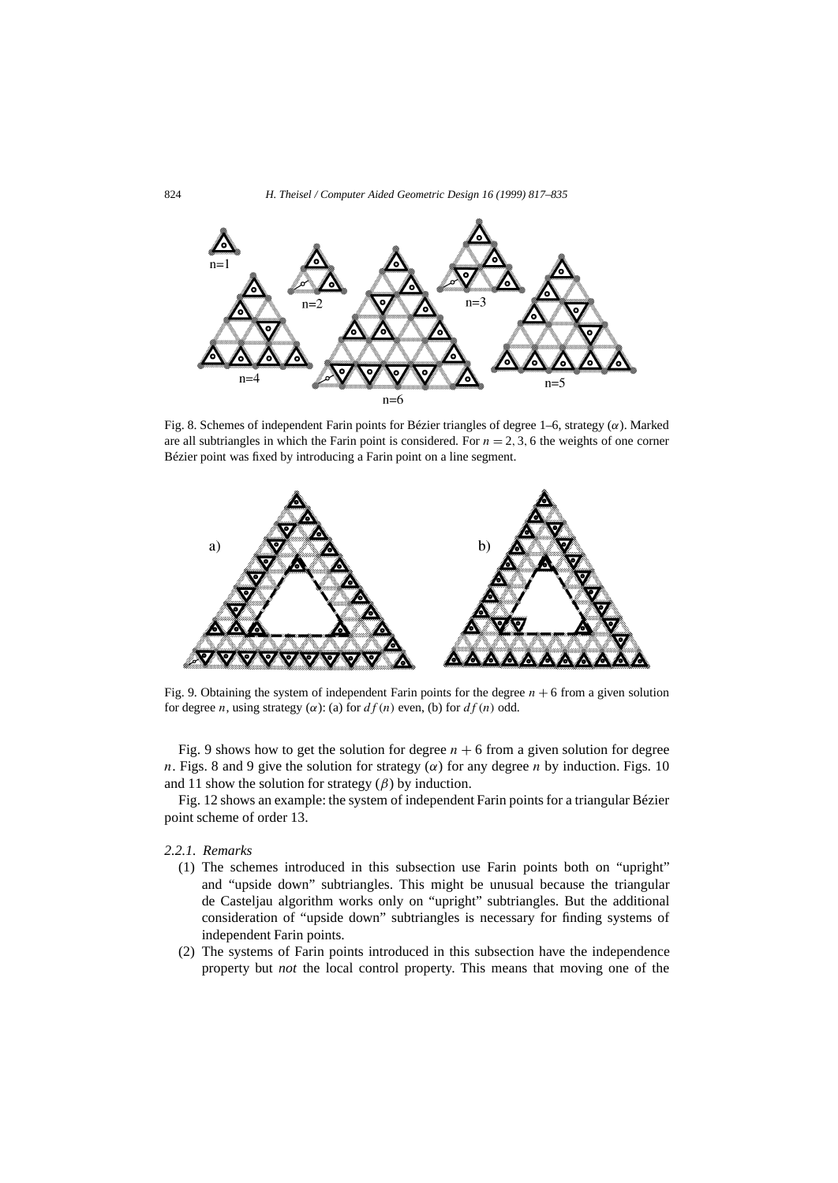

Fig. 8. Schemes of independent Farin points for Bézier triangles of degree 1–6, strategy (*α*). Marked are all subtriangles in which the Farin point is considered. For  $n = 2, 3, 6$  the weights of one corner Bézier point was fixed by introducing a Farin point on a line segment.



Fig. 9. Obtaining the system of independent Farin points for the degree  $n + 6$  from a given solution for degree *n*, using strategy ( $\alpha$ ): (a) for  $df(n)$  even, (b) for  $df(n)$  odd.

Fig. 9 shows how to get the solution for degree  $n + 6$  from a given solution for degree *n*. Figs. 8 and 9 give the solution for strategy ( $\alpha$ ) for any degree *n* by induction. Figs. 10 and 11 show the solution for strategy  $(\beta)$  by induction.

Fig. 12 shows an example: the system of independent Farin points for a triangular Bézier point scheme of order 13.

## *2.2.1. Remarks*

- (1) The schemes introduced in this subsection use Farin points both on "upright" and "upside down" subtriangles. This might be unusual because the triangular de Casteljau algorithm works only on "upright" subtriangles. But the additional consideration of "upside down" subtriangles is necessary for finding systems of independent Farin points.
- (2) The systems of Farin points introduced in this subsection have the independence property but *not* the local control property. This means that moving one of the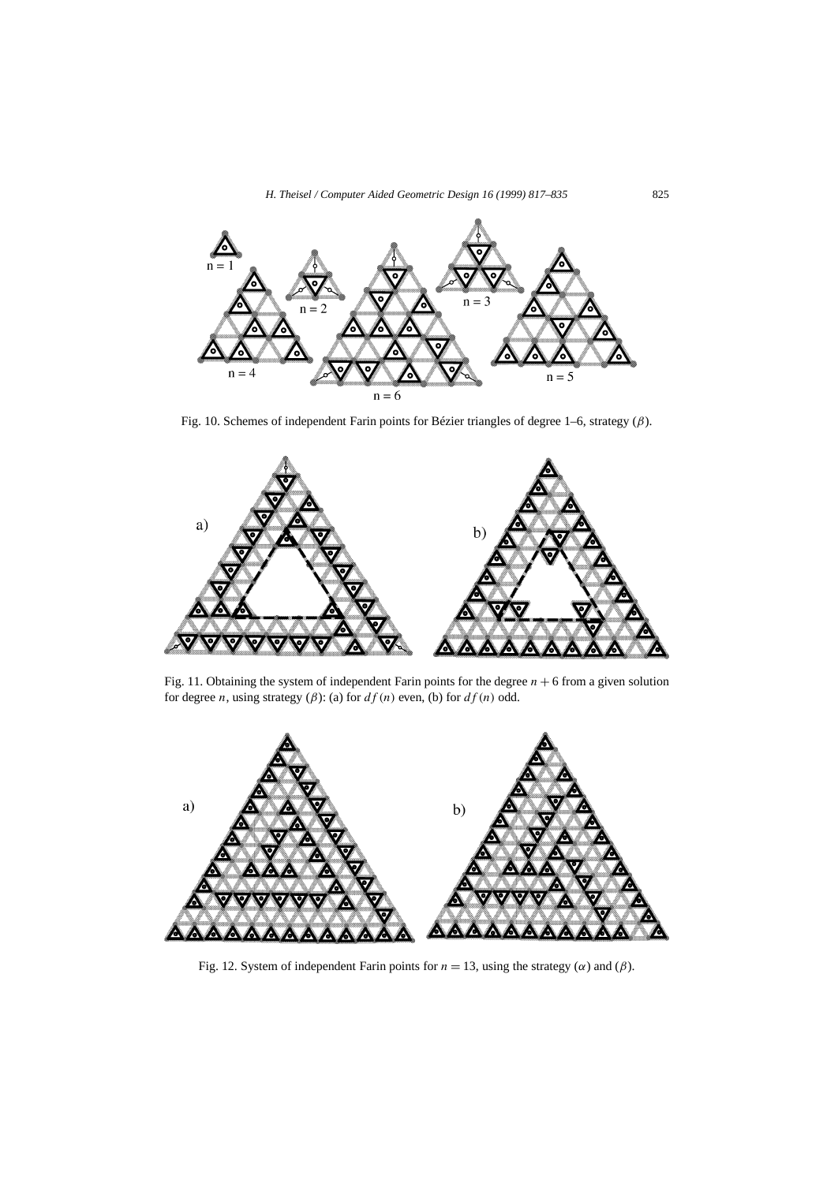

Fig. 10. Schemes of independent Farin points for Bézier triangles of degree 1–6, strategy (*β*).



Fig. 11. Obtaining the system of independent Farin points for the degree  $n + 6$  from a given solution for degree *n*, using strategy ( $\beta$ ): (a) for  $df(n)$  even, (b) for  $df(n)$  odd.



Fig. 12. System of independent Farin points for  $n = 13$ , using the strategy ( $\alpha$ ) and ( $\beta$ ).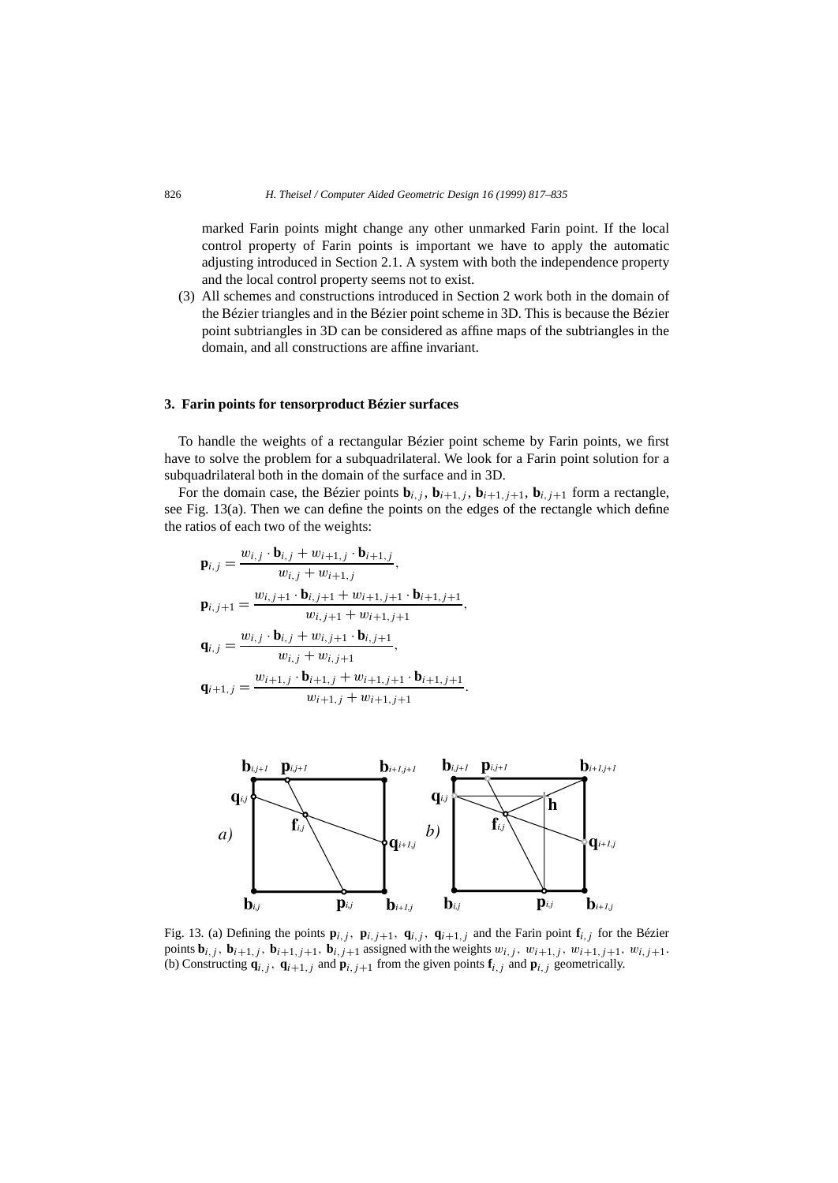marked Farin points might change any other unmarked Farin point. If the local control property of Farin points is important we have to apply the automatic adjusting introduced in Section 2.1. A system with both the independence property and the local control property seems not to exist.

(3) All schemes and constructions introduced in Section 2 work both in the domain of the Bézier triangles and in the Bézier point scheme in 3D. This is because the Bézier point subtriangles in 3D can be considered as affine maps of the subtriangles in the domain, and all constructions are affine invariant.

## **3. Farin points for tensorproduct Bézier surfaces**

To handle the weights of a rectangular Bézier point scheme by Farin points, we first have to solve the problem for a subquadrilateral. We look for a Farin point solution for a subquadrilateral both in the domain of the surface and in 3D.

For the domain case, the Bézier points  $\mathbf{b}_{i,j}$ ,  $\mathbf{b}_{i+1,j}$ ,  $\mathbf{b}_{i+1,j+1}$ ,  $\mathbf{b}_{i,j+1}$  form a rectangle, see Fig. 13(a). Then we can define the points on the edges of the rectangle which define the ratios of each two of the weights:

$$
\mathbf{p}_{i,j} = \frac{w_{i,j} \cdot \mathbf{b}_{i,j} + w_{i+1,j} \cdot \mathbf{b}_{i+1,j}}{w_{i,j} + w_{i+1,j}},
$$
\n
$$
\mathbf{p}_{i,j+1} = \frac{w_{i,j+1} \cdot \mathbf{b}_{i,j+1} + w_{i+1,j+1} \cdot \mathbf{b}_{i+1,j+1}}{w_{i,j+1} + w_{i+1,j+1}},
$$
\n
$$
\mathbf{q}_{i,j} = \frac{w_{i,j} \cdot \mathbf{b}_{i,j} + w_{i,j+1} \cdot \mathbf{b}_{i,j+1}}{w_{i,j} + w_{i,j+1}},
$$
\n
$$
\mathbf{q}_{i+1,j} = \frac{w_{i+1,j} \cdot \mathbf{b}_{i+1,j} + w_{i+1,j+1} \cdot \mathbf{b}_{i+1,j+1}}{w_{i+1,j} + w_{i+1,j+1}}.
$$



Fig. 13. (a) Defining the points  $\mathbf{p}_{i,j}$ ,  $\mathbf{p}_{i,j+1}$ ,  $\mathbf{q}_{i,j}$ ,  $\mathbf{q}_{i+1,j}$  and the Farin point  $\mathbf{f}_{i,j}$  for the Bézier points  $\mathbf{b}_{i,j}$ ,  $\mathbf{b}_{i+1,j}$ ,  $\mathbf{b}_{i+1,j+1}$ ,  $\mathbf{b}_{i,j+1}$  assigned with the weights  $w_{i,j}$ ,  $w_{i+1,j}$ ,  $w_{i+1,j+1}$ ,  $w_{i,j+1}$ . (b) Constructing  $\mathbf{q}_{i,j}$ ,  $\mathbf{q}_{i+1,j}$  and  $\mathbf{p}_{i,j+1}$  from the given points  $\mathbf{f}_{i,j}$  and  $\mathbf{p}_{i,j}$  geometrically.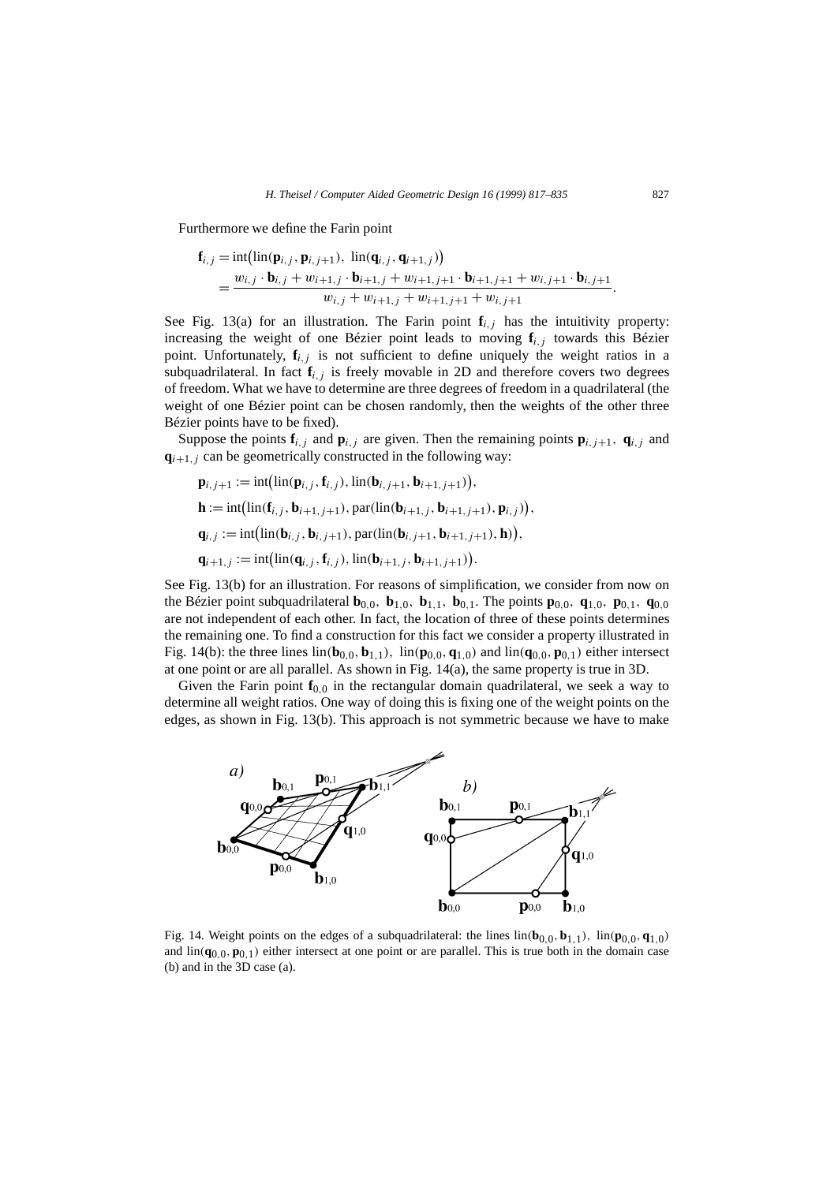Furthermore we define the Farin point

*H. Theisel / Computer Aided Geometric Design 16 (1999) 817–835*  
\ntherefore we define the Farin point  
\n
$$
\mathbf{f}_{i,j} = \text{int}(\text{lin}(\mathbf{p}_{i,j}, \mathbf{p}_{i,j+1}), \ \text{lin}(\mathbf{q}_{i,j}, \mathbf{q}_{i+1,j}))
$$
\n
$$
= \frac{w_{i,j} \cdot \mathbf{b}_{i,j} + w_{i+1,j} \cdot \mathbf{b}_{i+1,j} + w_{i+1,j+1} \cdot \mathbf{b}_{i+1,j+1} + w_{i,j+1} \cdot \mathbf{b}_{i,j+1}}{w_{i,j} + w_{i+1,j} + w_{i+1,j+1} + w_{i,j+1}}.
$$

See Fig. 13(a) for an illustration. The Farin point  $f_{i,j}$  has the intuitivity property: increasing the weight of one Bézier point leads to moving **f***i,j* towards this Bézier point. Unfortunately,  $f_{i,j}$  is not sufficient to define uniquely the weight ratios in a subquadrilateral. In fact  $f_{i,j}$  is freely movable in 2D and therefore covers two degrees of freedom. What we have to determine are three degrees of freedom in a quadrilateral (the weight of one Bézier point can be chosen randomly, then the weights of the other three Bézier points have to be fixed).

Suppose the points  $\mathbf{f}_{i,j}$  and  $\mathbf{p}_{i,j}$  are given. Then the remaining points  $\mathbf{p}_{i,j+1}$ ,  $\mathbf{q}_{i,j}$  and  $q_{i+1,j}$  can be geometrically constructed in the following way: **p**<sub>i</sub>, *j*+1 := int( Ę

opose the points 
$$
\mathbf{i}_{i,j}
$$
 and  $\mathbf{p}_{i,j}$  are given. Then the remaining  
\n $\mathbf{i}_i$  can be geometrically constructed in the following way:  
\n $\mathbf{p}_{i,j+1} := \text{int}(\text{lin}(\mathbf{p}_{i,j}, \mathbf{f}_{i,j}), \text{lin}(\mathbf{b}_{i,j+1}, \mathbf{b}_{i+1,j+1})),$   
\n $\mathbf{h} := \text{int}(\text{lin}(\mathbf{f}_{i,j}, \mathbf{b}_{i+1,j+1}), \text{par}(\text{lin}(\mathbf{b}_{i+1,j}, \mathbf{b}_{i+1,j+1}), \mathbf{p}_{i,j})),$   
\n $\mathbf{q}_{i,j} := \text{int}(\text{lin}(\mathbf{b}_{i,j}, \mathbf{b}_{i,j+1}), \text{par}(\text{lin}(\mathbf{b}_{i,j+1}, \mathbf{b}_{i+1,j+1}), \mathbf{h})),$   
\n $\mathbf{q}_{i+1,j} := \text{int}(\text{lin}(\mathbf{q}_{i,j}, \mathbf{f}_{i,j}), \text{lin}(\mathbf{b}_{i+1,j}, \mathbf{b}_{i+1,j+1})).$ 

See Fig. 13(b) for an illustration. For reasons of simplification, we consider from now on the Bézier point subquadrilateral  $\mathbf{b}_{0,0}$ ,  $\mathbf{b}_{1,0}$ ,  $\mathbf{b}_{1,1}$ ,  $\mathbf{b}_{0,1}$ . The points  $\mathbf{p}_{0,0}$ ,  $\mathbf{q}_{1,0}$ ,  $\mathbf{p}_{0,1}$ ,  $\mathbf{q}_{0,0}$ are not independent of each other. In fact, the location of three of these points determines the remaining one. To find a construction for this fact we consider a property illustrated in Fig. 14(b): the three lines  $\text{lin}(\mathbf{b}_{0,0}, \mathbf{b}_{1,1})$ ,  $\text{lin}(\mathbf{p}_{0,0}, \mathbf{q}_{1,0})$  and  $\text{lin}(\mathbf{q}_{0,0}, \mathbf{p}_{0,1})$  either intersect at one point or are all parallel. As shown in Fig. 14(a), the same property is true in 3D.

Given the Farin point  $f_{0,0}$  in the rectangular domain quadrilateral, we seek a way to determine all weight ratios. One way of doing this is fixing one of the weight points on the edges, as shown in Fig. 13(b). This approach is not symmetric because we have to make



Fig. 14. Weight points on the edges of a subquadrilateral: the lines  $\text{lin}(\mathbf{b}_{0,0}, \mathbf{b}_{1,1})$ ,  $\text{lin}(\mathbf{p}_{0,0}, \mathbf{q}_{1,0})$ and  $\text{lin}(\mathbf{q}_{0,0}, \mathbf{p}_{0,1})$  either intersect at one point or are parallel. This is true both in the domain case (b) and in the 3D case (a).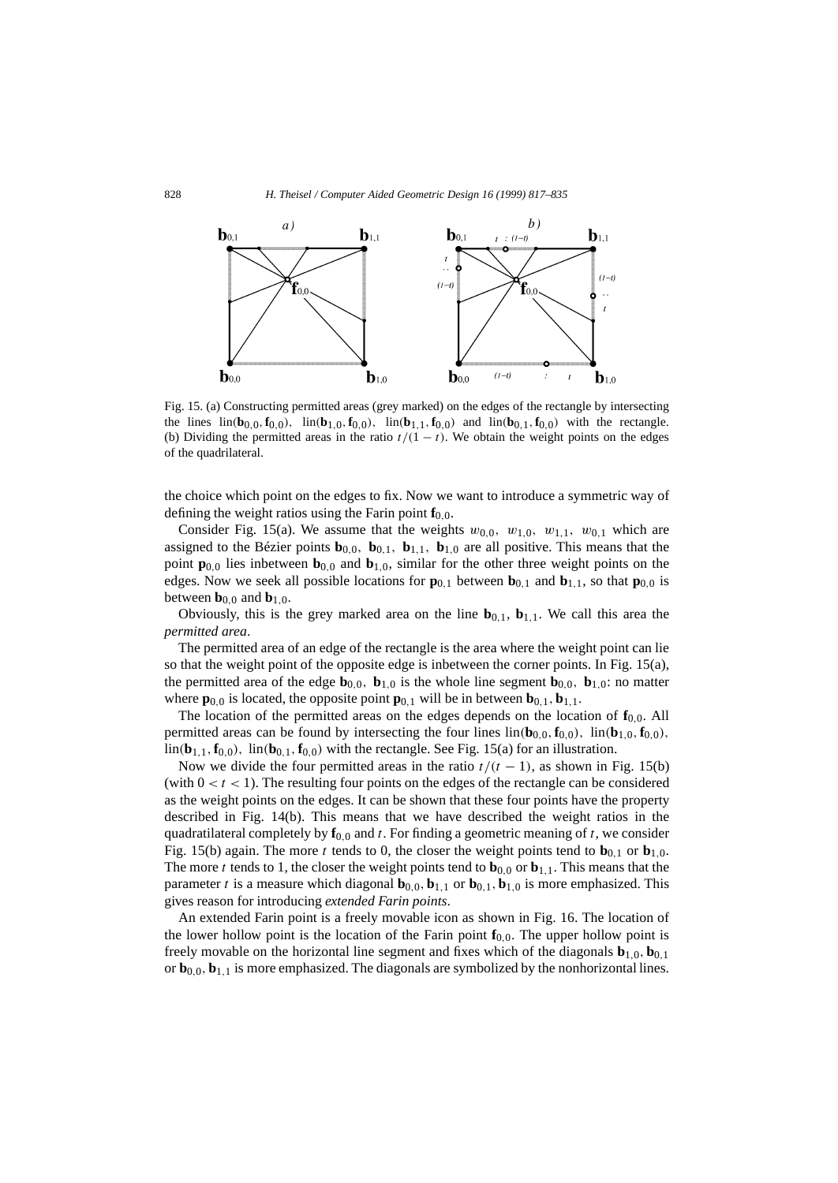

Fig. 15. (a) Constructing permitted areas (grey marked) on the edges of the rectangle by intersecting the lines  $\text{lin}(\mathbf{b}_{0,0}, \mathbf{f}_{0,0})$ ,  $\text{lin}(\mathbf{b}_{1,0}, \mathbf{f}_{0,0})$ ,  $\text{lin}(\mathbf{b}_{1,1}, \mathbf{f}_{0,0})$  and  $\text{lin}(\mathbf{b}_{0,1}, \mathbf{f}_{0,0})$  with the rectangle. (b) Dividing the permitted areas in the ratio  $t/(1 - t)$ . We obtain the weight points on the edges of the quadrilateral.

the choice which point on the edges to fix. Now we want to introduce a symmetric way of defining the weight ratios using the Farin point  $f_0$ <sub>0</sub>.

Consider Fig. 15(a). We assume that the weights  $w_{0,0}$ ,  $w_{1,0}$ ,  $w_{1,1}$ ,  $w_{0,1}$  which are assigned to the Bézier points  $\mathbf{b}_{0,0}$ ,  $\mathbf{b}_{0,1}$ ,  $\mathbf{b}_{1,1}$ ,  $\mathbf{b}_{1,0}$  are all positive. This means that the point  $\mathbf{p}_{0,0}$  lies inbetween  $\mathbf{b}_{0,0}$  and  $\mathbf{b}_{1,0}$ , similar for the other three weight points on the edges. Now we seek all possible locations for  $\mathbf{p}_{0,1}$  between  $\mathbf{b}_{0,1}$  and  $\mathbf{b}_{1,1}$ , so that  $\mathbf{p}_{0,0}$  is between  $\mathbf{b}_{0,0}$  and  $\mathbf{b}_{1,0}$ .

Obviously, this is the grey marked area on the line  $\mathbf{b}_{0,1}$ ,  $\mathbf{b}_{1,1}$ . We call this area the *permitted area*.

The permitted area of an edge of the rectangle is the area where the weight point can lie so that the weight point of the opposite edge is inbetween the corner points. In Fig. 15(a), the permitted area of the edge  $\mathbf{b}_{0,0}$ ,  $\mathbf{b}_{1,0}$  is the whole line segment  $\mathbf{b}_{0,0}$ ,  $\mathbf{b}_{1,0}$ : no matter where  $\mathbf{p}_{0,0}$  is located, the opposite point  $\mathbf{p}_{0,1}$  will be in between  $\mathbf{b}_{0,1}$ ,  $\mathbf{b}_{1,1}$ .

The location of the permitted areas on the edges depends on the location of  $f_{0,0}$ . All permitted areas can be found by intersecting the four lines  $\text{lin}(\mathbf{b}_{0,0}, \mathbf{f}_{0,0})$ ,  $\text{lin}(\mathbf{b}_{1,0}, \mathbf{f}_{0,0})$ ,  $\lim_{h \to 0} (\mathbf{b}_{1,1}, \mathbf{f}_{0,0})$ ,  $\lim_{h \to 0} (\mathbf{b}_{0,1}, \mathbf{f}_{0,0})$  with the rectangle. See Fig. 15(a) for an illustration.

Now we divide the four permitted areas in the ratio  $t/(t-1)$ , as shown in Fig. 15(b) (with  $0 < t < 1$ ). The resulting four points on the edges of the rectangle can be considered as the weight points on the edges. It can be shown that these four points have the property described in Fig. 14(b). This means that we have described the weight ratios in the quadratilateral completely by  $f_{0,0}$  and *t*. For finding a geometric meaning of *t*, we consider Fig. 15(b) again. The more *t* tends to 0, the closer the weight points tend to  $\mathbf{b}_{0,1}$  or  $\mathbf{b}_{1,0}$ . The more *t* tends to 1, the closer the weight points tend to  $\mathbf{b}_{0,0}$  or  $\mathbf{b}_{1,1}$ . This means that the parameter *t* is a measure which diagonal  $\mathbf{b}_{0,0}, \mathbf{b}_{1,1}$  or  $\mathbf{b}_{0,1}, \mathbf{b}_{1,0}$  is more emphasized. This gives reason for introducing *extended Farin points*.

An extended Farin point is a freely movable icon as shown in Fig. 16. The location of the lower hollow point is the location of the Farin point  $f_{0,0}$ . The upper hollow point is freely movable on the horizontal line segment and fixes which of the diagonals  $\mathbf{b}_{1,0}, \mathbf{b}_{0,1}$ or  $\mathbf{b}_{0,0}, \mathbf{b}_{1,1}$  is more emphasized. The diagonals are symbolized by the nonhorizontal lines.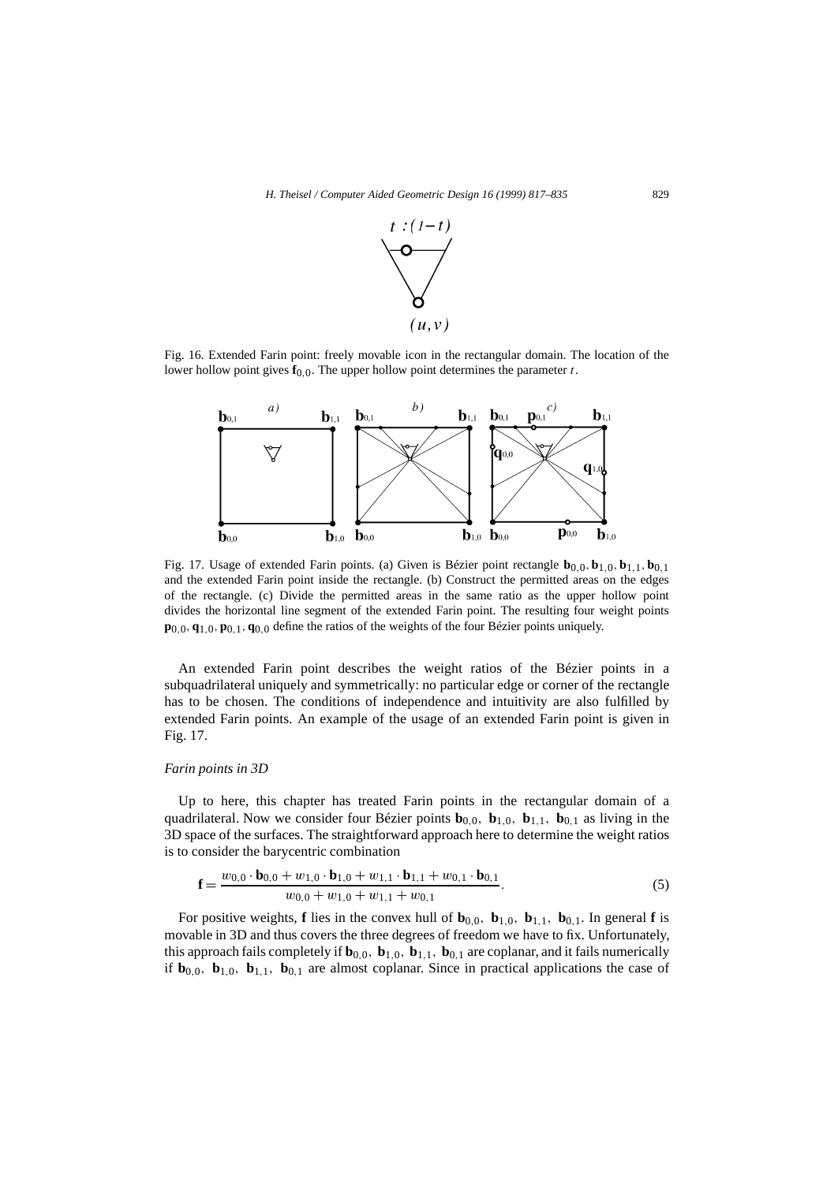

Fig. 16. Extended Farin point: freely movable icon in the rectangular domain. The location of the lower hollow point gives  $f_{0,0}$ . The upper hollow point determines the parameter *t*.



Fig. 17. Usage of extended Farin points. (a) Given is Bézier point rectangle  $\mathbf{b}_{0,0}, \mathbf{b}_{1,0}, \mathbf{b}_{1,1}, \mathbf{b}_{0,1}$ and the extended Farin point inside the rectangle. (b) Construct the permitted areas on the edges of the rectangle. (c) Divide the permitted areas in the same ratio as the upper hollow point divides the horizontal line segment of the extended Farin point. The resulting four weight points **p**0*,*0*,***q**1*,*0*,***p**0*,*1*,***q**0*,*0 define the ratios of the weights of the four Bézier points uniquely.

An extended Farin point describes the weight ratios of the Bézier points in a subquadrilateral uniquely and symmetrically: no particular edge or corner of the rectangle has to be chosen. The conditions of independence and intuitivity are also fulfilled by extended Farin points. An example of the usage of an extended Farin point is given in Fig. 17.

### *Farin points in 3D*

Up to here, this chapter has treated Farin points in the rectangular domain of a quadrilateral. Now we consider four Bézier points  $\mathbf{b}_{0,0}$ ,  $\mathbf{b}_{1,0}$ ,  $\mathbf{b}_{1,1}$ ,  $\mathbf{b}_{0,1}$  as living in the 3D space of the surfaces. The straightforward approach here to determine the weight ratios is to consider the barycentric combination

$$
\mathbf{f} = \frac{w_{0,0} \cdot \mathbf{b}_{0,0} + w_{1,0} \cdot \mathbf{b}_{1,0} + w_{1,1} \cdot \mathbf{b}_{1,1} + w_{0,1} \cdot \mathbf{b}_{0,1}}{w_{0,0} + w_{1,0} + w_{1,1} + w_{0,1}}.
$$
 (5)

For positive weights, **f** lies in the convex hull of  $\mathbf{b}_{0,0}$ ,  $\mathbf{b}_{1,0}$ ,  $\mathbf{b}_{1,1}$ ,  $\mathbf{b}_{0,1}$ . In general **f** is movable in 3D and thus covers the three degrees of freedom we have to fix. Unfortunately, this approach fails completely if  $\mathbf{b}_{0,0}$ ,  $\mathbf{b}_{1,0}$ ,  $\mathbf{b}_{1,1}$ ,  $\mathbf{b}_{0,1}$  are coplanar, and it fails numerically if  $\mathbf{b}_{0,0}$ ,  $\mathbf{b}_{1,0}$ ,  $\mathbf{b}_{1,1}$ ,  $\mathbf{b}_{0,1}$  are almost coplanar. Since in practical applications the case of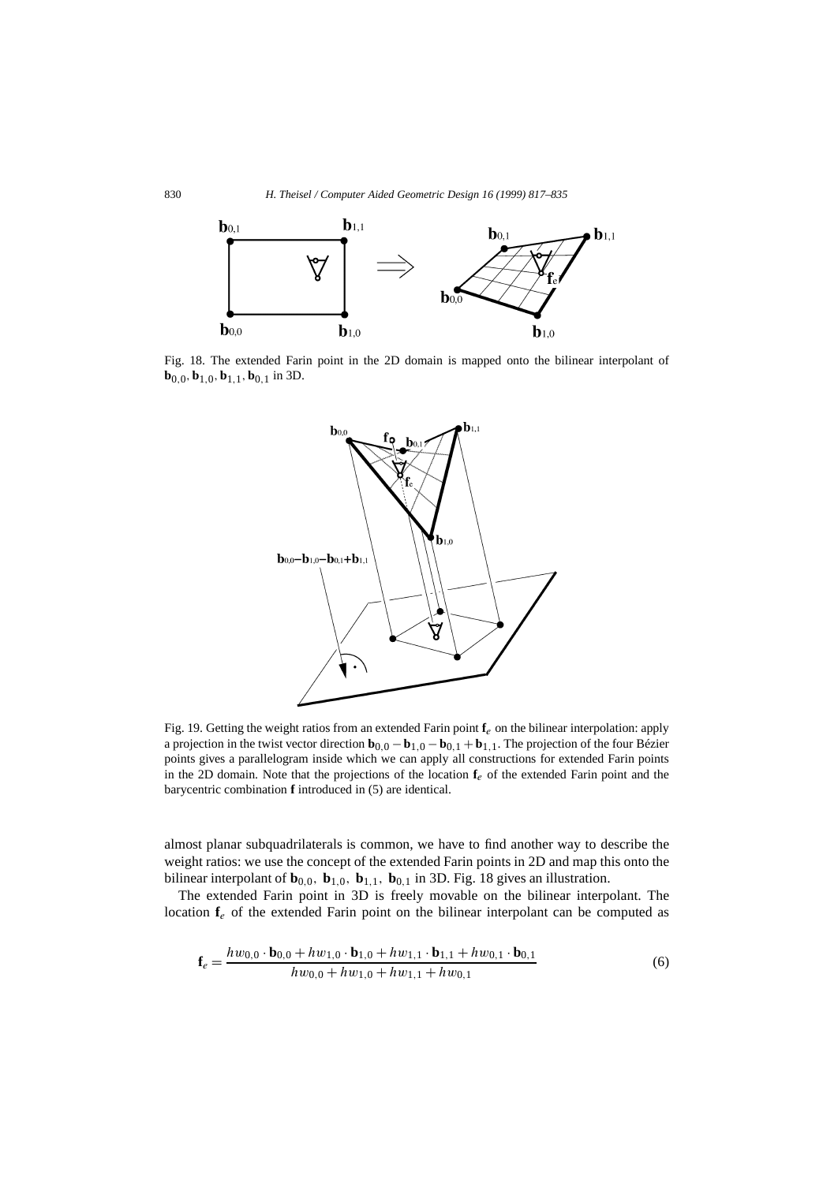

Fig. 18. The extended Farin point in the 2D domain is mapped onto the bilinear interpolant of **b**0*,*0*,***b**1*,*0*,***b**1*,*1*,***b**0*,*1 in 3D.



Fig. 19. Getting the weight ratios from an extended Farin point **f***e* on the bilinear interpolation: apply a projection in the twist vector direction **b**0*,*<sup>0</sup> − **b**1*,*<sup>0</sup> − **b**0*,*<sup>1</sup> + **b**1*,*1. The projection of the four Bézier points gives a parallelogram inside which we can apply all constructions for extended Farin points in the 2D domain. Note that the projections of the location  $f_e$  of the extended Farin point and the barycentric combination **f** introduced in (5) are identical.

almost planar subquadrilaterals is common, we have to find another way to describe the weight ratios: we use the concept of the extended Farin points in 2D and map this onto the bilinear interpolant of  $\mathbf{b}_{0,0}$ ,  $\mathbf{b}_{1,0}$ ,  $\mathbf{b}_{1,1}$ ,  $\mathbf{b}_{0,1}$  in 3D. Fig. 18 gives an illustration.

The extended Farin point in 3D is freely movable on the bilinear interpolant. The location **f***<sup>e</sup>* of the extended Farin point on the bilinear interpolant can be computed as

$$
\mathbf{f}_e = \frac{h w_{0,0} \cdot \mathbf{b}_{0,0} + h w_{1,0} \cdot \mathbf{b}_{1,0} + h w_{1,1} \cdot \mathbf{b}_{1,1} + h w_{0,1} \cdot \mathbf{b}_{0,1}}{h w_{0,0} + h w_{1,0} + h w_{1,1} + h w_{0,1}}
$$
(6)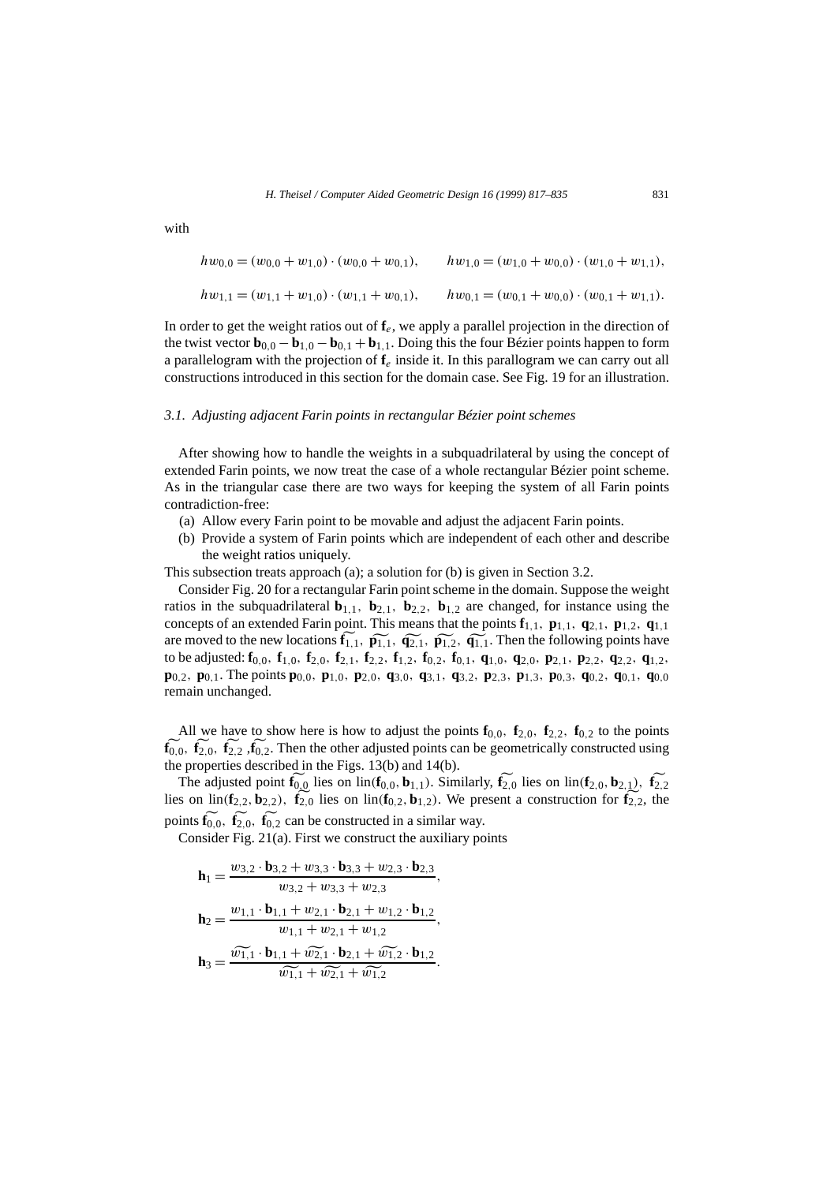with

$$
hw_{0,0} = (w_{0,0} + w_{1,0}) \cdot (w_{0,0} + w_{0,1}), \qquad hw_{1,0} = (w_{1,0} + w_{0,0}) \cdot (w_{1,0} + w_{1,1}),
$$
  
\n
$$
hw_{1,1} = (w_{1,1} + w_{1,0}) \cdot (w_{1,1} + w_{0,1}), \qquad hw_{0,1} = (w_{0,1} + w_{0,0}) \cdot (w_{0,1} + w_{1,1}).
$$

In order to get the weight ratios out of **f***e*, we apply a parallel projection in the direction of the twist vector  $\mathbf{b}_{0,0} - \mathbf{b}_{1,0} - \mathbf{b}_{0,1} + \mathbf{b}_{1,1}$ . Doing this the four Bézier points happen to form a parallelogram with the projection of **f***<sup>e</sup>* inside it. In this parallogram we can carry out all constructions introduced in this section for the domain case. See Fig. 19 for an illustration.

### *3.1. Adjusting adjacent Farin points in rectangular Bézier point schemes*

After showing how to handle the weights in a subquadrilateral by using the concept of extended Farin points, we now treat the case of a whole rectangular Bézier point scheme. As in the triangular case there are two ways for keeping the system of all Farin points contradiction-free:

- (a) Allow every Farin point to be movable and adjust the adjacent Farin points.
- (b) Provide a system of Farin points which are independent of each other and describe the weight ratios uniquely.

This subsection treats approach (a); a solution for (b) is given in Section 3.2.

Consider Fig. 20 for a rectangular Farin point scheme in the domain. Suppose the weight fratios in the subquadrilateral  $\mathbf{b}_{1,1}$ ,  $\mathbf{b}_{2,1}$ ,  $\mathbf{b}_{2,2}$ ,  $\mathbf{b}_{1,2}$  are changed, for instance using the concepts of an extended Farin point. This means that the points  $\mathbf{f}_{1,1}$ ,  $\mathbf{p}_{1,1}$ ,  $\mathbf{q}_{2,1}$ ,  $\mathbf{p}_{1,2}$ ,  $\mathbf{q}_{1,1}$ are moved to the new locations  $\mathbf{f}_{1,1}$ ,  $\mathbf{\tilde{p}_{1,1}}$ ,  $\mathbf{\tilde{q}_{2,1}}$ ,  $\mathbf{\tilde{p}_{1,2}}$ ,  $\mathbf{\tilde{q}_{1,1}}$ . Then the following points have 1*,*<sub>1</sub>*,* **b**<sub>2</sub>*,*1*,* **b**<sub>2</sub>*,*2*,* **b**<sub>1</sub>*,*<sub>2</sub> are changed, for instance using the sint. This means that the points  $\mathbf{f}_{1,1}$ ,  $\mathbf{p}_{1,1}$ ,  $\mathbf{q}_{2,1}$ ,  $\mathbf{p}_{1,2}$ ,  $\mathbf{q}_{1,1}$ ,  $\tilde{\mathbf{p}}_{1,1}$ ,  $\tilde{\mathbf{p}}_{1$ to be adjusted:  $f_{0,0}$ ,  $f_{1,0}$ ,  $f_{2,0}$ ,  $f_{2,1}$ ,  $f_{2,2}$ ,  $f_{1,2}$ ,  $f_{0,2}$ ,  $f_{0,1}$ ,  $q_{1,0}$ ,  $q_{2,0}$ ,  $p_{2,1}$ ,  $p_{2,2}$ ,  $q_{2,2}$ ,  $q_{1,2}$ ,  $\mathbf{p}_{0,2}$ ,  $\mathbf{p}_{0,1}$ . The points  $\mathbf{p}_{0,0}$ ,  $\mathbf{p}_{1,0}$ ,  $\mathbf{p}_{2,0}$ ,  $\mathbf{q}_{3,0}$ ,  $\mathbf{q}_{3,1}$ ,  $\mathbf{q}_{3,2}$ ,  $\mathbf{p}_{2,3}$ ,  $\mathbf{p}_{1,3}$ ,  $\mathbf{p}_{0,3}$ ,  $\mathbf{q}_{0,2}$ ,  $\mathbf{q}_{0,1}$ ,  $\mathbf{q}_{0,0}$ remain unchanged.

All we have to show here is how to adjust the points  $\mathbf{f}_{0,0}$ ,  $\mathbf{f}_{2,0}$ ,  $\mathbf{f}_{2,2}$ ,  $\mathbf{f}_{0,2}$  to the points  $\mathbf{f}_{0,0}^{\sim}$ ,  $\mathbf{f}_{2,0}^{\sim}$ ,  $\mathbf{f}_{2,2}^{\sim}$ ,  $\mathbf{f}_{0,2}$ . Then the other adjusted points can be geometrically constructed using the properties described in the Figs. 13(b) and 14(b). fff

The adjusted point  $f_{0,0}$  lies on lin( $f_{0,0}, b_{1,1}$ ). Similarly,  $f_{2,0}$  lies on lin( $f_{2,0}, b_{2,1}$ ),  $f_{2,2}$ lies on lin( $\mathbf{f}_{2,2}$ ,  $\mathbf{b}_{2,2}$ ),  $\mathbf{f}_{2,0}$  lies on lin( $\mathbf{f}_{0,2}$ ,  $\mathbf{b}_{1,2}$ ). We present a construction for  $\mathbf{f}_{2,2}$ , the points  $\mathbf{f}_{0,0}$ ,  $\mathbf{f}_{2,0}$ ,  $\mathbf{f}_{0,2}$  can be constructed in a similar way.

Consider Fig. 21(a). First we construct the auxiliary points

$$
\mathbf{h}_1 = \frac{w_{3,2} \cdot \mathbf{b}_{3,2} + w_{3,3} \cdot \mathbf{b}_{3,3} + w_{2,3} \cdot \mathbf{b}_{2,3}}{w_{3,2} + w_{3,3} + w_{2,3}},
$$
\n
$$
\mathbf{h}_2 = \frac{w_{1,1} \cdot \mathbf{b}_{1,1} + w_{2,1} \cdot \mathbf{b}_{2,1} + w_{1,2} \cdot \mathbf{b}_{1,2}}{w_{1,1} + w_{2,1} + w_{1,2}},
$$
\n
$$
\mathbf{h}_3 = \frac{\widetilde{w_{1,1}} \cdot \mathbf{b}_{1,1} + \widetilde{w_{2,1}} \cdot \mathbf{b}_{2,1} + \widetilde{w_{1,2}} \cdot \mathbf{b}_{1,2}}{\widetilde{w_{1,1}} + \widetilde{w_{2,1}} + \widetilde{w_{1,2}}}.
$$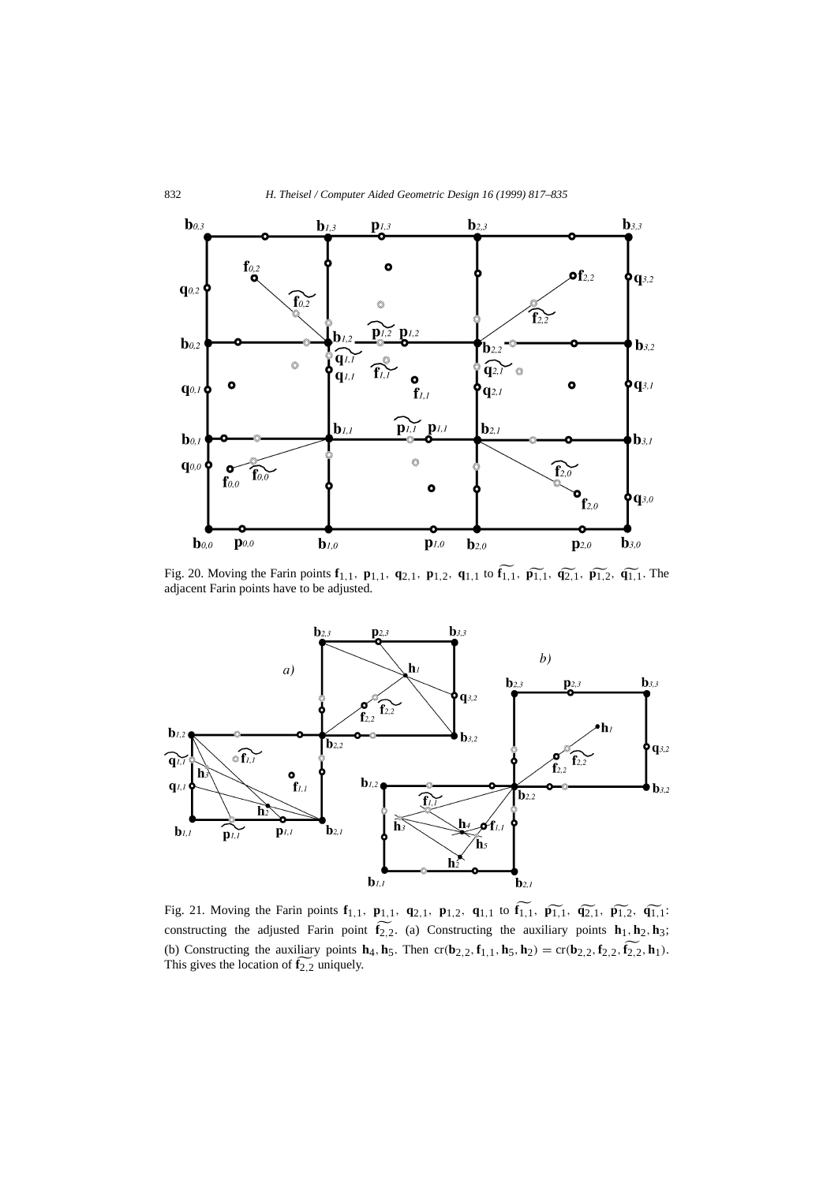

adjacent Farin points have to be adjusted.



constructing the adjusted Farin point  $f_{2,2}$ . (a) Constructing the auxiliary points  $h_1$ ,  $h_2$ ,  $h_3$ ; (b) Constructing the auxiliary points  $\mathbf{h}_4$ ,  $\mathbf{h}_5$ . Then  $cr(\mathbf{b}_{2,2}, \mathbf{f}_{1,1}, \mathbf{h}_5, \mathbf{h}_2) = cr(\mathbf{b}_{2,2}, \mathbf{f}_{2,2}, \mathbf{f}_{2,2}, \mathbf{h}_1)$ . This gives the location of **f** 2*,*2 uniquely. $\mathbf{u}$  p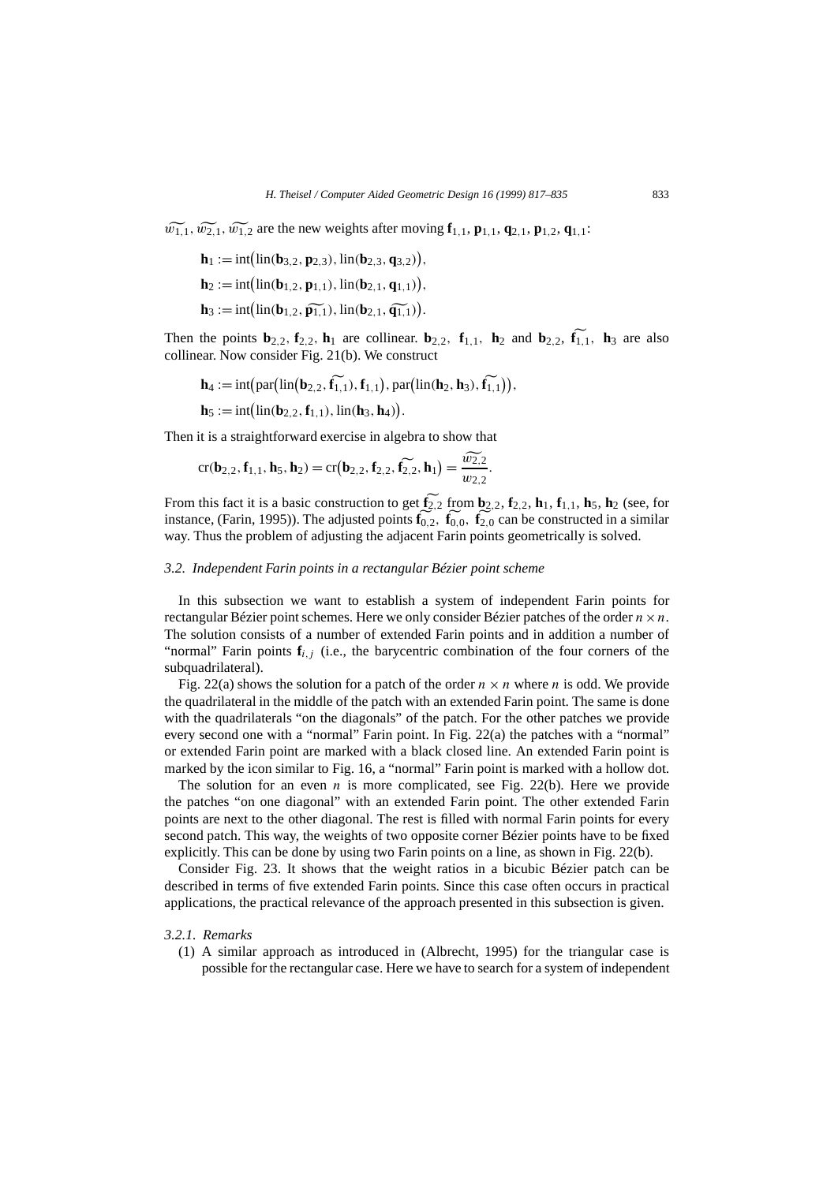*w*<sub>1,1</sub>*,*  $\widetilde{w_{1,1}}$ *,*  $\widetilde{w_{2,1}}$ *,*  $\widetilde{w_{1,2}}$  are the new weights after moving **f**<sub>1,1</sub>, **p**<sub>1,1</sub>, **q**<sub>2,1</sub>, **p**<sub>1,2</sub>, **q**<sub>1,1</sub>:

H. Theisel / Computer Aided Geome  
\n
$$
\widetilde{w_{2,1}}, \widetilde{w_{1,2}}
$$
 are the new weights after mov  
\n $\mathbf{h}_1 := \text{int}(\text{lin}(\mathbf{b}_{3,2}, \mathbf{p}_{2,3}), \text{lin}(\mathbf{b}_{2,3}, \mathbf{q}_{3,2})),$   
\n $\mathbf{h}_2 := \text{int}(\text{lin}(\mathbf{b}_{1,2}, \mathbf{p}_{1,1}), \text{lin}(\mathbf{b}_{2,1}, \mathbf{q}_{1,1})),$   
\n $\mathbf{h}_3 := \text{int}(\text{lin}(\mathbf{b}_{1,2}, \widetilde{\mathbf{p}_{1,1}}), \text{lin}(\mathbf{b}_{2,1}, \widetilde{\mathbf{q}_{1,1}})).$ 

Then the points  $\mathbf{b}_{2,2}$ ,  $\mathbf{f}_{2,2}$ ,  $\mathbf{h}_1$  are collinear.  $\mathbf{b}_{2,2}$ ,  $\mathbf{f}_{1,1}$ ,  $\mathbf{h}_2$  and  $\mathbf{b}_{2,2}$ ,  $\mathbf{f}_{1,1}$ ,  $\mathbf{h}_3$  are also the points **b**<sub>2,2</sub>, **f**<sub>2,2</sub>, **h**<sub>1</sub> are collinear. **b**<sub>2,2</sub>, **f**<sub>1,1</sub>, **h**<sub>2</sub> are calls ar. Now consider Fig. 21(b). We construct **h**<sub>4</sub> := int(par(lin(**b**<sub>2,2</sub>, **f**<sub>1,1</sub>), **f**<sub>1,1</sub>), par(lin(**h**<sub>2</sub>, **h**<sub>3</sub>), **f**<sub>1,1</sub>))

Then the points 
$$
\mathbf{z}_{2,2}, \mathbf{z}_{1,2}, \mathbf{a}_1
$$
 are defined.  $\mathbf{z}_{2,2}, \mathbf{z}_{1,1}, \mathbf{z}_2$  as collinear. Now consider Fig. 21(b). We construct

\n $\mathbf{h}_4 := \text{int}(\text{par}(\text{lin}(\mathbf{b}_{2,2}, \mathbf{f}_{1,1}), \mathbf{f}_{1,1}), \text{par}(\text{lin}(\mathbf{h}_2, \mathbf{h}_3), \mathbf{f}_{1,1})),$ 

\n $\mathbf{h}_5 := \text{int}(\text{lin}(\mathbf{b}_{2,2}, \mathbf{f}_{1,1}), \text{lin}(\mathbf{h}_3, \mathbf{h}_4)).$ 

Then it is a straightforward exercise in algebra to show that

$$
\mathbf{h}_5 := \text{int}(\text{lin}(\mathbf{b}_{2,2}, \mathbf{f}_{1,1}), \text{lin}(\mathbf{h}_3, \mathbf{h}_4)).
$$
  
it is a straightforward exercise in algebra to show that  

$$
\text{cr}(\mathbf{b}_{2,2}, \mathbf{f}_{1,1}, \mathbf{h}_5, \mathbf{h}_2) = \text{cr}(\mathbf{b}_{2,2}, \mathbf{f}_{2,2}, \mathbf{f}_{2,2}), \mathbf{h}_1) = \frac{\hat{w}_{2,2}}{w_{2,2}}.
$$

From this fact it is a basic construction to get  $\mathbf{f}_{2,2}$  from  $\mathbf{b}_{2,2}$ ,  $\mathbf{f}_{2,2}$ ,  $\mathbf{h}_1$ ,  $\mathbf{f}_{1,1}$ ,  $\mathbf{h}_5$ ,  $\mathbf{h}_2$  (see, for instance, (Farin, 1995)). The adjusted points **f** <sup>0</sup>*,*2*,* **f** <sup>0</sup>*,*0*,* **f** <sup>2</sup>*,*<sup>0</sup> can be constructed in a similar way. Thus the problem of adjusting the adjacent Farin points geometrically is solved.

#### *3.2. Independent Farin points in a rectangular Bézier point scheme*

In this subsection we want to establish a system of independent Farin points for rectangular Bézier point schemes. Here we only consider Bézier patches of the order  $n \times n$ . The solution consists of a number of extended Farin points and in addition a number of "normal" Farin points **f***i,j* (i.e., the barycentric combination of the four corners of the subquadrilateral).

Fig. 22(a) shows the solution for a patch of the order  $n \times n$  where *n* is odd. We provide the quadrilateral in the middle of the patch with an extended Farin point. The same is done with the quadrilaterals "on the diagonals" of the patch. For the other patches we provide every second one with a "normal" Farin point. In Fig. 22(a) the patches with a "normal" or extended Farin point are marked with a black closed line. An extended Farin point is marked by the icon similar to Fig. 16, a "normal" Farin point is marked with a hollow dot.

The solution for an even  $n$  is more complicated, see Fig. 22(b). Here we provide the patches "on one diagonal" with an extended Farin point. The other extended Farin points are next to the other diagonal. The rest is filled with normal Farin points for every second patch. This way, the weights of two opposite corner Bézier points have to be fixed explicitly. This can be done by using two Farin points on a line, as shown in Fig. 22(b).

Consider Fig. 23. It shows that the weight ratios in a bicubic Bézier patch can be described in terms of five extended Farin points. Since this case often occurs in practical applications, the practical relevance of the approach presented in this subsection is given.

#### *3.2.1. Remarks*

(1) A similar approach as introduced in (Albrecht, 1995) for the triangular case is possible for the rectangular case. Here we have to search for a system of independent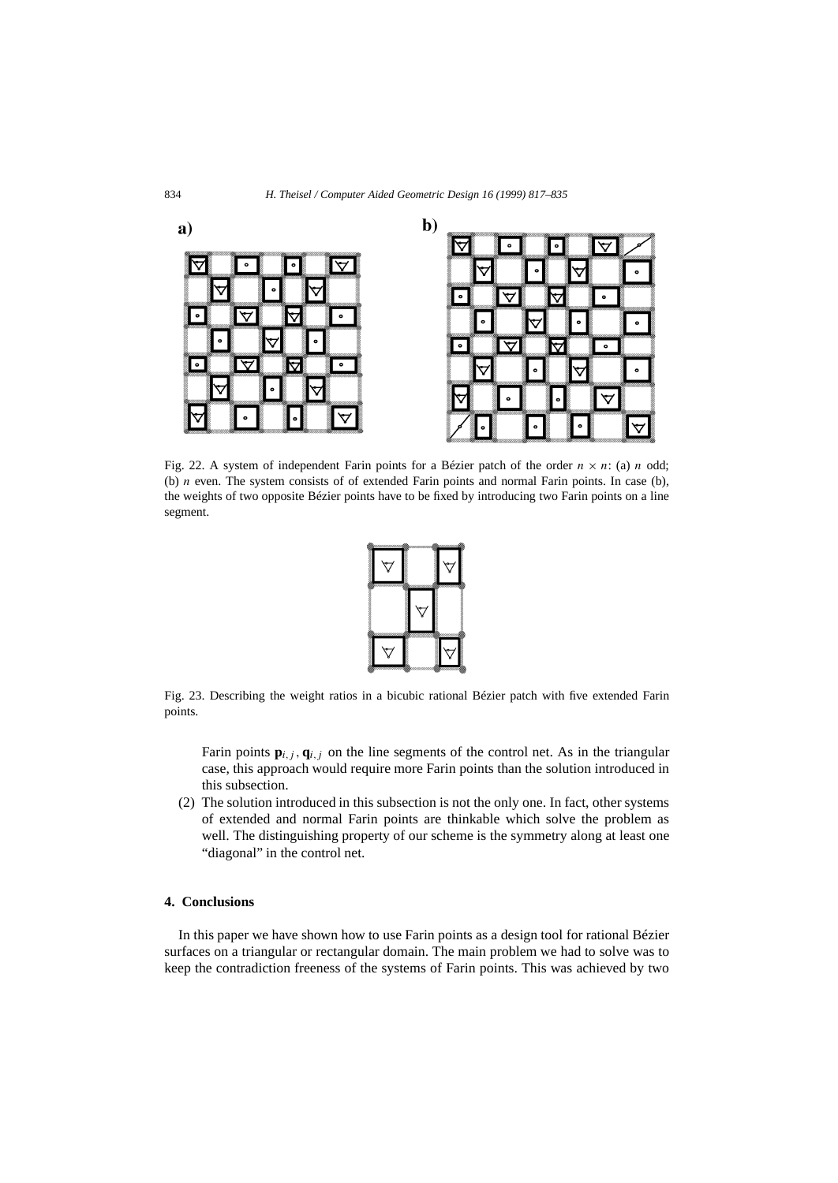

Fig. 22. A system of independent Farin points for a Bézier patch of the order  $n \times n$ : (a) *n* odd; (b) *n* even. The system consists of of extended Farin points and normal Farin points. In case (b), the weights of two opposite Bézier points have to be fixed by introducing two Farin points on a line segment.



Fig. 23. Describing the weight ratios in a bicubic rational Bézier patch with five extended Farin points.

Farin points  $\mathbf{p}_{i,j}$ ,  $\mathbf{q}_{i,j}$  on the line segments of the control net. As in the triangular case, this approach would require more Farin points than the solution introduced in this subsection.

(2) The solution introduced in this subsection is not the only one. In fact, other systems of extended and normal Farin points are thinkable which solve the problem as well. The distinguishing property of our scheme is the symmetry along at least one "diagonal" in the control net.

# **4. Conclusions**

In this paper we have shown how to use Farin points as a design tool for rational Bézier surfaces on a triangular or rectangular domain. The main problem we had to solve was to keep the contradiction freeness of the systems of Farin points. This was achieved by two